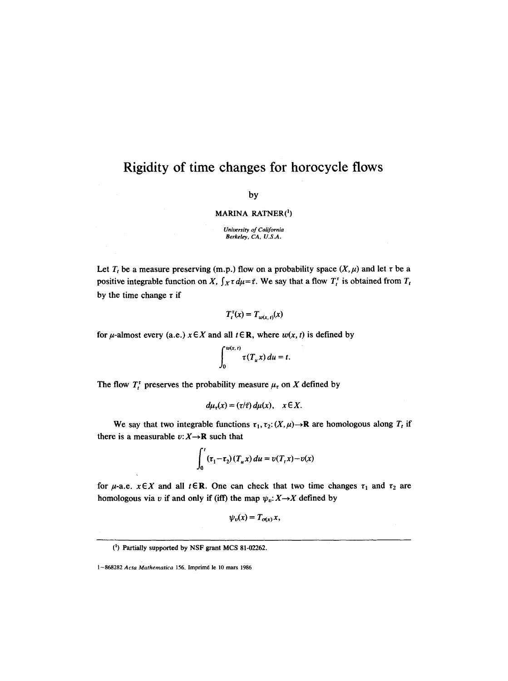# **Rigidity of time changes for horocycle flows**

## by

## MARINA RATNER(1)

*University of California Berkeley, CA, U.S.A.* 

Let  $T_t$  be a measure preserving (m.p.) flow on a probability space  $(X,\mu)$  and let  $\tau$  be a positive integrable function on *X*,  $\int_X \tau d\mu = \bar{\tau}$ . We say that a flow  $T_t^{\tau}$  is obtained from  $T_t$ by the time change  $\tau$  if

$$
T_t^{\tau}(x) = T_{w(x,t)}(x)
$$

for  $\mu$ -almost every (a.e.)  $x \in X$  and all  $t \in \mathbb{R}$ , where  $w(x, t)$  is defined by

$$
\int_0^{w(x,t)} \tau(T_u x) du = t.
$$

The flow  $T_t^r$  preserves the probability measure  $\mu_r$  on X defined by

$$
d\mu_{\tau}(x)=(\tau/\bar{\tau})\,d\mu(x),\quad x\in X.
$$

We say that two integrable functions  $\tau_1$ ,  $\tau_2$ :  $(X, \mu) \rightarrow \mathbb{R}$  are homologous along  $T_t$  if there is a measurable  $v: X \rightarrow \mathbb{R}$  such that

$$
\int_0^t \left(\tau_1 - \tau_2\right) \left(T_u x\right) du = v(T_t x) - v(x)
$$

for  $\mu$ -a.e.  $x \in X$  and all  $t \in \mathbb{R}$ . One can check that two time changes  $\tau_1$  and  $\tau_2$  are homologous via v if and only if (iff) the map  $\psi_v: X \to X$  defined by

$$
\psi_v(x)=T_{\sigma(x)}x,
$$

<sup>(</sup>i) Partially supported by NSF grant MCS 81-02262.

<sup>1-868282</sup> Acta Mathematica 156. Imprimé le 10 mars 1986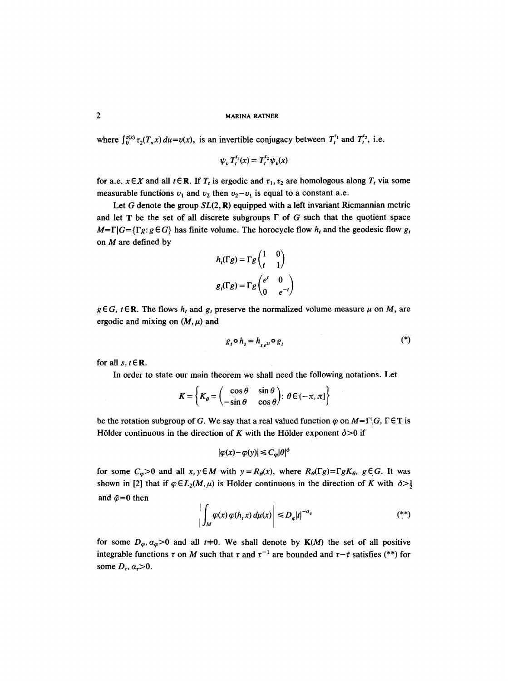where  $\int_0^{\sigma(x)} \tau_2(T_x x) du = v(x)$ , is an invertible conjugacy between  $T_t^{\tau_1}$  and  $T_t^{\tau_2}$ , i.e.

$$
\psi_v T_t^{\tau_1}(x) = T_t^{\tau_2} \psi_v(x)
$$

for a.e.  $x \in X$  and all  $t \in \mathbb{R}$ . If  $T_t$  is ergodic and  $\tau_1, \tau_2$  are homologous along  $T_t$  via some measurable functions  $v_1$  and  $v_2$  then  $v_2-v_1$  is equal to a constant a.e.

Let G denote the group  $SL(2, \mathbb{R})$  equipped with a left invariant Riemannian metric and let T be the set of all discrete subgroups  $\Gamma$  of G such that the quotient space  $M=\Gamma|G=\{\Gamma g: g \in G\}$  has finite volume. The horocycle flow  $h_t$  and the geodesic flow  $g_t$ on  $M$  are defined by

$$
h_t(\Gamma g) = \Gamma g \begin{pmatrix} 1 & 0 \\ t & 1 \end{pmatrix}
$$

$$
g_t(\Gamma g) = \Gamma g \begin{pmatrix} e^t & 0 \\ 0 & e^{-t} \end{pmatrix}
$$

 $g \in G$ ,  $t \in \mathbb{R}$ . The flows  $h_t$  and  $g_t$  preserve the normalized volume measure  $\mu$  on M, are ergodic and mixing on  $(M,\mu)$  and

$$
g_t \circ h_s = h_{se^{2t}} \circ g_t \tag{*}
$$

for all  $s, t \in \mathbb{R}$ .

In order to state our main theorem we shall need the following notations. Let

$$
K = \left\{ K_{\theta} = \begin{pmatrix} \cos \theta & \sin \theta \\ -\sin \theta & \cos \theta \end{pmatrix} : \theta \in (-\pi, \pi] \right\}
$$

be the rotation subgroup of G. We say that a real valued function  $\varphi$  on  $M=\Gamma|G$ ,  $\Gamma \in \mathbf{T}$  is Hölder continuous in the direction of K with the Hölder exponent  $\delta > 0$  if

$$
|\varphi(x)-\varphi(y)| \leq C_{\varphi}|\theta|^{\delta}
$$

for some  $C_{\varphi} > 0$  and all  $x, y \in M$  with  $y = R_{\theta}(x)$ , where  $R_{\theta}(\Gamma g) = \Gamma g K_{\theta}$ ,  $g \in G$ . It was shown in [2] that if  $\varphi \in L_2(M,\mu)$  is Hölder continuous in the direction of K with  $\delta > \frac{1}{2}$ and  $\bar{\varphi}=0$  then

$$
\left| \int_M \varphi(x) \, \varphi(h, x) \, d\mu(x) \right| \le D_\varphi |t|^{-\alpha_\varphi} \tag{**}
$$

for some  $D_{\varphi}$ ,  $\alpha_{\varphi}$  >0 and all t+0. We shall denote by K(M) the set of all positive integrable functions  $\tau$  on M such that  $\tau$  and  $\tau^{-1}$  are bounded and  $\tau-\bar{\tau}$  satisfies (\*\*) for some  $D_t$ ,  $\alpha_t>0$ .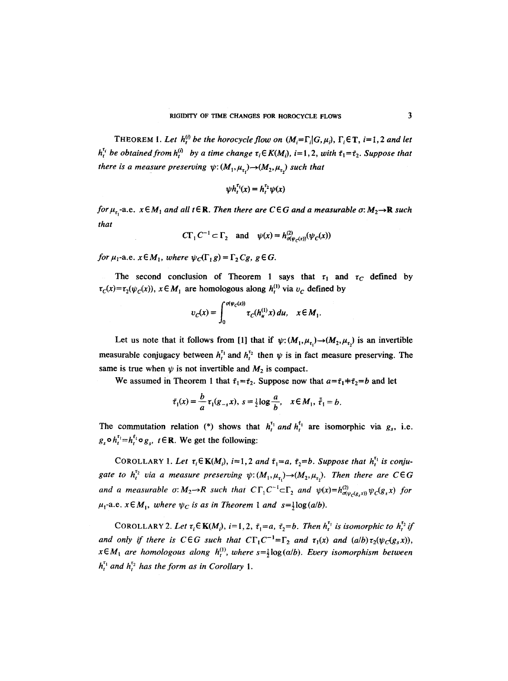THEOREM 1. Let  $h_t^{(i)}$  be the horocycle flow on  $(M_i=\Gamma_i|G,\mu_i)$ ,  $\Gamma_i \in \mathbb{T}$ ,  $i=1,2$  and let  $h_t^{\tau_i}$  be obtained from  $h_t^{(i)}$  by a time change  $\tau_i \in K(M_i)$ , i=1,2, with  $\tau_1 = \bar{\tau}_2$ . Suppose that *there is a measure preserving*  $\psi$ *:*  $(M_1, \mu_{\tau_1}) \rightarrow (M_2, \mu_{\tau_2})$  such that

$$
\psi h_t^{\tau_1}(x) = h_t^{\tau_2} \psi(x)
$$

*for*  $\mu_{\tau_1}$ -a.e.  $x \in M_1$  and all  $t \in \mathbb{R}$ . Then there are  $C \in G$  and a measurable  $\sigma: M_2 \to \mathbb{R}$  such *that* 

$$
C\Gamma_1 C^{-1} \subset \Gamma_2 \text{ and } \psi(x) = h_{\sigma(\psi_c(x))}^{(2)}(\psi_c(x))
$$

*for*  $\mu_1$ -a.e.  $x \in M_1$ , where  $\psi_C(\Gamma_1 g) = \Gamma_2 Cg$ ,  $g \in G$ .

The second conclusion of Theorem 1 says that  $\tau_1$  and  $\tau_c$  defined by  $\tau_c(x) = \tau_2(\psi_c(x))$ ,  $x \in M_1$  are homologous along  $h_t^{(1)}$  via  $v_c$  defined by

$$
v_C(x) = \int_0^{\sigma(\psi_C(x))} \tau_C(h_u^{(1)}x) du, \quad x \in M_1.
$$

Let us note that it follows from [1] that if  $\psi: (M_1,\mu_{\tau_1})\to (M_2,\mu_{\tau_2})$  is an invertible measurable conjugacy between  $h_t^{\tau_1}$  and  $h_t^{\tau_2}$  then  $\psi$  is in fact measure preserving. The same is true when  $\psi$  is not invertible and  $M_2$  is compact.

We assumed in Theorem 1 that  $\bar{\tau}_1=\bar{\tau}_2$ . Suppose now that  $a=\bar{\tau}_1+\bar{\tau}_2=b$  and let

$$
\tilde{\tau}_1(x) = \frac{b}{a} \tau_1(g_{-s}x), \ s = \frac{1}{2} \log \frac{a}{b}, \ x \in M_1, \ \tilde{\tau}_1 = b.
$$

The commutation relation (\*) shows that  $h_t^{\tau_1}$  and  $h_t^{\tau_1}$  are isomorphic via  $g_s$ , i.e.  $g_s \circ h_t^{\tau_1} = h_t^{\tau_1} \circ g_s$ ,  $t \in \mathbb{R}$ . We get the following:

COROLLARY 1. Let  $\tau_i \in K(M_i)$ ,  $i=1,2$  and  $\bar{\tau}_1=a$ ,  $\bar{\tau}_2=b$ . *Suppose that*  $h_t^{\tau_1}$  is conju*gate to*  $h_t^{\tau_2}$  *via a measure preserving*  $\psi:(M_1,\mu_{\tau_1})\rightarrow (M_2,\mu_{\tau_2})$ . *Then there are C* $\in$ *G* and a measurable  $\sigma: M_2 \to \mathbb{R}$  such that  $C \Gamma_1 C^{-1} \subset \Gamma_2$  and  $\psi(x) = h_{\sigma(\psi, \{g, x\})}^{(2)} \psi_C(g, x)$  for  $\mu_1$ -a.e.  $x \in M_1$ , where  $\psi_C$  is as in Theorem 1 and  $s = \frac{1}{2} \log(a/b)$ .

COROLLARY 2. Let  $\tau_i \in K(M_i)$ ,  $i=1, 2, \bar{\tau}_i=a, \bar{\tau}_i=b$ . Then  $h_i^{\tau_1}$  is isomorphic to  $h_i^{\tau_2}$  if *and only if there is CEG such that*  $C\Gamma_1C^{-1}=\Gamma_2$  *and*  $\tau_1(x)$  *and*  $(a/b)\tau_2(\psi_C(g_s x))$ ,  $x \in M_1$  are homologous along  $h_t^{(1)}$ , where  $s = \frac{1}{2} \log(a/b)$ . Every isomorphism between  $h_t^{\tau_1}$  and  $h_t^{\tau_2}$  has the form as in Corollary 1.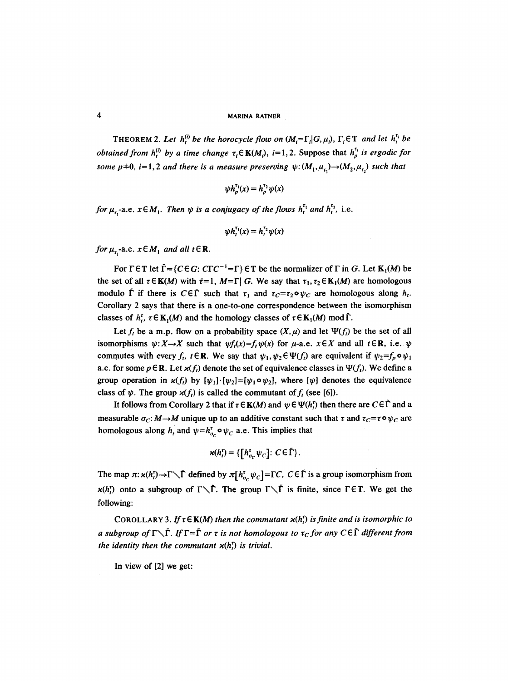THEOREM 2. Let  $h_t^{(i)}$  be the horocycle flow on  $(M_i = \Gamma_i | G, \mu_i)$ ,  $\Gamma_i \in \mathbb{T}$  and let  $h_t^{t_i}$  be *obtained from h*<sup>(i)</sup> by a time change  $\tau_i \in K(M_i)$ ,  $i=1,2$ . Suppose that  $h_i^{\tau_i}$  is ergodic for *some p* $\pm 0$ , *i*=1, 2 *and there is a measure preserving*  $\psi$ :  $(M_1, \mu_{\tau_1}) \rightarrow (M_2, \mu_{\tau_2})$  *such that* 

$$
\psi h_p^{\tau_1}(x) = h_p^{\tau_2} \psi(x)
$$

*for*  $\mu_{\tau_1}$ -a.e.  $x \in M_1$ . Then  $\psi$  is a conjugacy of the flows  $h_t^{\tau_1}$  and  $h_t^{\tau_2}$ , i.e.

$$
\psi h_t^{\tau_1}(x) = h_t^{\tau_2} \psi(x)
$$

*for*  $\mu_{\tau}$ -a.e.  $x \in M_1$  *and all*  $t \in \mathbb{R}$ .

For  $\Gamma \in \Gamma$  let  $\tilde{\Gamma} = \{ C \in G : C\Gamma C^{-1} = \Gamma \} \in \Gamma$  be the normalizer of  $\Gamma$  in G. Let  $K_1(M)$  be the set of all  $\tau \in K(M)$  with  $\bar{\tau}=1$ ,  $M=\Gamma(G)$ . We say that  $\tau_1, \tau_2 \in K_1(M)$  are homologous modulo  $\tilde{\Gamma}$  if there is  $C \in \tilde{\Gamma}$  such that  $\tau_1$  and  $\tau_C = \tau_2 \circ \psi_C$  are homologous along  $h_t$ . Corollary 2 says that there is a one-to-one correspondence between the isomorphism classes of  $h_i^r$ ,  $\tau \in K_1(M)$  and the homology classes of  $\tau \in K_1(M)$  mod  $\tilde{\Gamma}$ .

Let f<sub>t</sub> be a m.p. flow on a probability space  $(X,\mu)$  and let  $\Psi(f)$  be the set of all isomorphisms  $\psi: X \to X$  such that  $\psi f_t(x) = f_t \psi(x)$  for  $\mu$ -a.e.  $x \in X$  and all  $t \in \mathbb{R}$ , i.e.  $\psi$ commutes with every  $f_t$ ,  $t \in \mathbb{R}$ . We say that  $\psi_1, \psi_2 \in \Psi(f_t)$  are equivalent if  $\psi_2 = f_p \circ \psi_1$ a.e. for some  $p \in \mathbb{R}$ . Let  $\varkappa(f_t)$  denote the set of equivalence classes in  $\Psi(f_t)$ . We define a group operation in  $\varkappa(f_i)$  by  $[\psi_1] \cdot [\psi_2] = [\psi_1 \circ \psi_2]$ , where  $[\psi]$  denotes the equivalence class of  $\psi$ . The group  $\varkappa(f_t)$  is called the commutant of  $f_t$  (see [6]).

It follows from Corollary 2 that if  $\tau \in K(M)$  and  $\psi \in \Psi(h_r^{\tau})$  then there are  $C \in \tilde{\Gamma}$  and a measurable  $\sigma_C$ :  $M \rightarrow M$  unique up to an additive constant such that  $\tau$  and  $\tau_C = \tau \circ \psi_C$  are homologous along  $h_t$  and  $\psi = h_{\sigma_c}^{\tau} \circ \psi_c$  a.e. This implies that

$$
\varkappa(h_i^{\mathsf{T}})=\{\bigl\{h_{\sigma_i}^{\mathsf{T}}\psi_C\bigr\}\colon C\in\tilde{\Gamma}\}.
$$

The map  $\pi: \varkappa(h_r^r) \to \Gamma \setminus \overline{\Gamma}$  defined by  $\pi[h_{\sigma_c}^r \psi_C] = \Gamma C$ ,  $C \in \overline{\Gamma}$  is a group isomorphism from  $x(h<sup>r</sup>)$  onto a subgroup of  $\Gamma \setminus \tilde{\Gamma}$ . The group  $\Gamma \setminus \tilde{\Gamma}$  is finite, since  $\Gamma \in \Gamma$ . We get the following:

COROLLARY 3. If  $\tau \in K(M)$  *then the commutant*  $x(h_i^r)$  *is finite and is isomorphic to a subgroup of*  $\Gamma\setminus\tilde{\Gamma}$ . If  $\Gamma=\tilde{\Gamma}$  or  $\tau$  is not homologous to  $\tau_c$  for any  $C\in\tilde{\Gamma}$  different from *the identity then the commutant*  $\varkappa(h_r^r)$  *is trivial.* 

**In view of [2] we get:**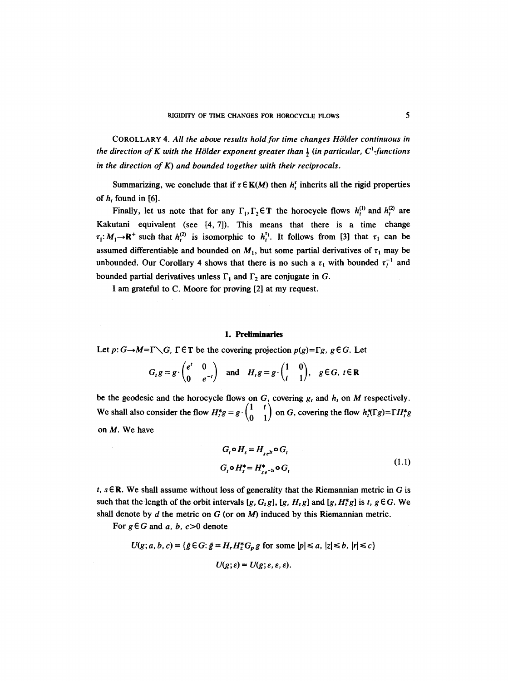COROLLARY 4. *All the above results hold for time changes H6lder continuous in the direction of K with the Hölder exponent greater than*  $\frac{1}{2}$  (in particular, C<sup>1</sup>-functions *in the direction of K) and bounded together with their reciprocals.* 

Summarizing, we conclude that if  $\tau \in K(M)$  then  $h^{\tau}$ , inherits all the rigid properties of  $h_t$  found in [6].

Finally, let us note that for any  $\Gamma_1, \Gamma_2 \in \mathbb{T}$  the horocycle flows  $h_t^{(1)}$  and  $h_t^{(2)}$  are Kakutani equivalent (see [4, 7]). This means that there is a time change  $\tau_1: M_1 \rightarrow \mathbb{R}^+$  such that  $h_t^{(2)}$  is isomorphic to  $h_t^{\tau_1}$ . It follows from [3] that  $\tau_1$  can be assumed differentiable and bounded on  $M_1$ , but some partial derivatives of  $\tau_1$  may be unbounded. Our Corollary 4 shows that there is no such a  $\tau_1$  with bounded  $\tau_1^{-1}$  and bounded partial derivatives unless  $\Gamma_1$  and  $\Gamma_2$  are conjugate in G.

I am grateful to C. Moore for proving [2] at my request.

### *1. PreUnfmaries*

Let  $p: G \rightarrow M=\Gamma \setminus G$ ,  $\Gamma \in \mathbb{T}$  be the covering projection  $p(g)=\Gamma g$ ,  $g \in G$ . Let

$$
G_t g = g \cdot \begin{pmatrix} e^t & 0 \\ 0 & e^{-t} \end{pmatrix} \quad \text{and} \quad H_t g = g \cdot \begin{pmatrix} 1 & 0 \\ t & 1 \end{pmatrix}, \quad g \in G, \ t \in \mathbb{R}
$$

be the geodesic and the horocycle flows on  $G$ , covering  $g_t$  and  $h_t$  on M respectively. We shall also consider the flow  $H_t^*g = g \cdot \begin{pmatrix} 1 & t \\ 0 & 1 \end{pmatrix}$  on G, covering the flow  $h_t^*(\Gamma g) = \Gamma H_t^*g$ on M. We have

$$
G_t \circ H_s = H_{se^{2t}} \circ G_t
$$
  
\n
$$
G_t \circ H_s^* = H_{se^{-2t}}^* \circ G_t
$$
\n(1.1)

t,  $s \in \mathbb{R}$ . We shall assume without loss of generality that the Riemannian metric in G is such that the length of the orbit intervals [g,  $G_t$ g], [g,  $H_t$ g] and [g,  $H_t^*g$ ] is t,  $g \in G$ . We shall denote by  $d$  the metric on  $G$  (or on  $M$ ) induced by this Riemannian metric.

For  $g \in G$  and a, b,  $c > 0$  denote

$$
U(g; a, b, c) = \{ \tilde{g} \in G : \tilde{g} = H_r H_z^* G_p g \text{ for some } |p| \le a, |z| \le b, |r| \le c \}
$$

$$
U(g;\varepsilon)=U(g;\varepsilon,\varepsilon,\varepsilon).
$$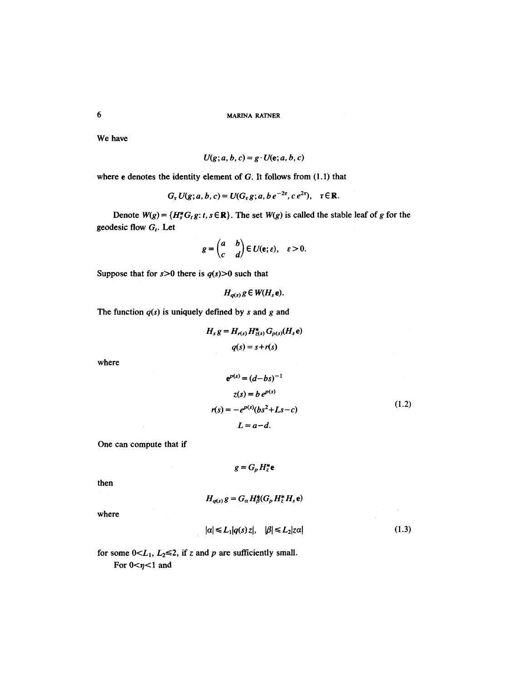We have

$$
U(g;a,b,c) = g \cdot U(e;a,b,c)
$$

where e denotes the identity element of G. It follows from (1.1) that

$$
G_{\tau} U(g; a, b, c) = U(G_{\tau} g; a, b e^{-2\tau}, c e^{2\tau}), \quad \tau \in \mathbb{R}.
$$

Denote  $W(g) = {H_s^*G_t g: t, s \in \mathbb{R}}$ . The set  $W(g)$  is called the stable leaf of g for the geodesic flow  $G_t$ . Let

$$
g = \begin{pmatrix} a & b \\ c & d \end{pmatrix} \in U(\mathbf{e}; \varepsilon), \quad \varepsilon > 0.
$$

Suppose that for  $s > 0$  there is  $q(s) > 0$  such that

 $H_{q(s)}g \in W(H_s e)$ .

The function  $q(s)$  is uniquely defined by s and g and

 $H_s g = H_{r(s)} H_{z(s)}^* G_{p(s)} (H_s e)$  $q(s) = s + r(s)$ 

where

$$
e^{p(s)} = (d - bs)^{-1}
$$
  
\n
$$
z(s) = b e^{p(s)}
$$
  
\n
$$
r(s) = -e^{p(s)} (bs^2 + Ls - c)
$$
  
\n
$$
L = a - d.
$$
\n(1.2)

One can compute that if

$$
g = G_p H_z^* e
$$

then

where

$$
H_{q(s)}g = G_{\alpha} H_{\beta}^{*}(G_{p} H_{z}^{*} H_{s} e)
$$
  
\n
$$
|\alpha| \le L_{1}|q(s) z|, \quad |\beta| \le L_{2}|z\alpha|
$$
\n(1.3)

for some  $0 < L_1$ ,  $L_2 \le 2$ , if z and p are sufficiently small. For  $0 < \eta < 1$  and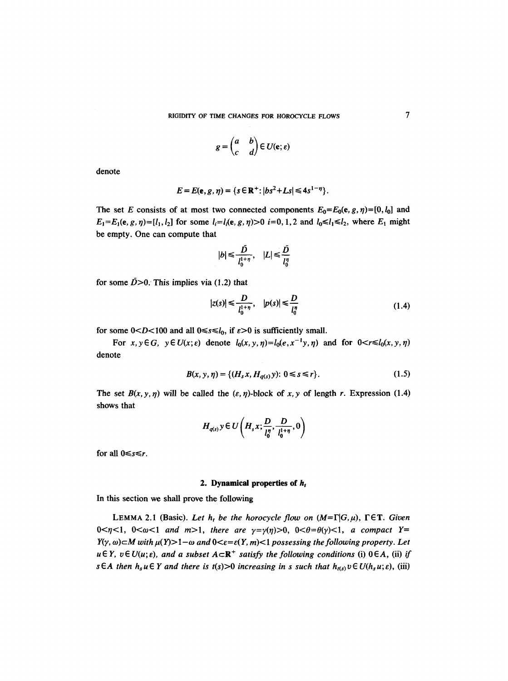$$
g = \begin{pmatrix} a & b \\ c & d \end{pmatrix} \in U(\mathbf{e}; \varepsilon)
$$

denote

$$
E = E(\mathbf{e}, g, \eta) = \{ s \in \mathbb{R}^+ : |bs^2 + Ls| \leq 4s^{1-\eta} \}.
$$

The set E consists of at most two connected components  $E_0=E_0(e, g, \eta)=[0, l_0]$  and  $E_1=E_1(e,g,\eta)=[l_1, l_2]$  for some  $l_i=l_i(e,g,\eta)>0$  *i*=0, 1, 2 and  $l_0\le l_1\le l_2$ , where  $E_1$  might be empty. One can compute that

$$
|b| \leq \frac{\tilde{D}}{l_0^{1+\eta}}, \quad |L| \leq \frac{\tilde{D}}{l_0^{\eta}}
$$

for some  $\tilde{D}$ >0. This implies via (1.2) that

$$
|z(s)| \leq \frac{D}{l_0^{1+\eta}}, \quad |p(s)| \leq \frac{D}{l_0^{\eta}}
$$
\n
$$
(1.4)
$$

for some  $0 < D < 100$  and all  $0 \le s \le l_0$ , if  $\varepsilon > 0$  is sufficiently small.

For  $x, y \in G$ ,  $y \in U(x;\varepsilon)$  denote  $l_0(x,y,\eta) = l_0(\varepsilon,x^{-1}y,\eta)$  and for  $0 < r \le l_0(x,y,\eta)$ denote

$$
B(x, y, \eta) = \{ (H_s x, H_{q(s)} y): 0 \le s \le r \}.
$$
 (1.5)

The set  $B(x, y, \eta)$  will be called the  $(\varepsilon, \eta)$ -block of x, y of length r. Expression (1.4) shows that

$$
H_{q(s)}y\in U\bigg(H_sx;\frac{D}{l_0^n},\frac{D}{l_0^{1+\eta}},0\bigg)
$$

for all  $0 \leq s \leq r$ .

#### **2. Dynamical properties of**  $h_t$

In this section we shall prove the following

LEMMA 2.1 (Basic). Let  $h_t$  be the horocycle flow on  $(M=\Gamma|G,\mu)$ ,  $\Gamma \in \mathbf{T}$ . Given  $0 < \eta < 1$ ,  $0 < \omega < 1$  and  $m > 1$ , there are  $\gamma = \gamma(\eta) > 0$ ,  $0 < \theta = \theta(\gamma) < 1$ , a compact Y=  $Y(y, \omega) \subset M$  with  $\mu(Y) > 1 - \omega$  and  $0 < \varepsilon = \varepsilon(Y, m) < 1$  possessing the following property. Let  $u \in Y$ ,  $v \in U(u; \varepsilon)$ , and a subset  $A \subset \mathbb{R}^+$  satisfy the following conditions (i)  $0 \in A$ , (ii) if  $s \in A$  then  $h_s u \in Y$  and there is  $t(s) > 0$  increasing in s such that  $h_{t(s)} v \in U(h_s u; \varepsilon)$ , (iii)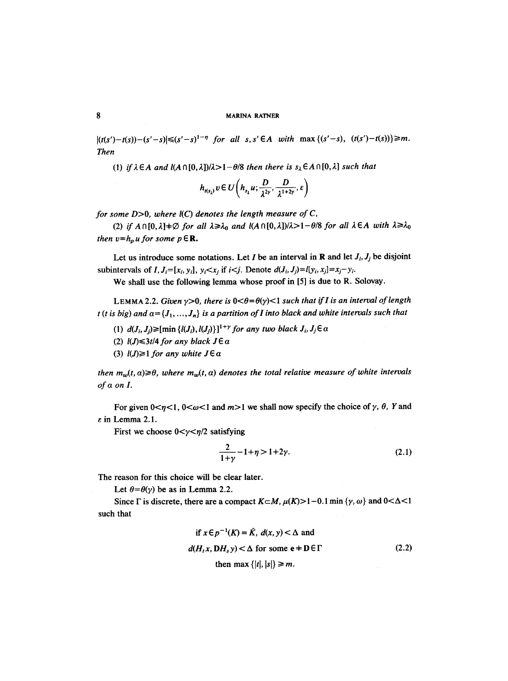$|(t(s')-t(s))-(s'-s)| \leq (s'-s)^{1-\eta}$  for all  $s, s' \in A$  with  $\max\{(s'-s), (t(s')-t(s))\} \geq m$ . *Then* 

(1) if  $\lambda \in A$  and  $l(A \cap [0, \lambda])/\lambda > 1-\theta/8$  *then there is*  $s_{\lambda} \in A \cap [0, \lambda]$  *such that* 

$$
h_{t(s_i)} v \in U\left(h_{s_i}u; \frac{D}{\lambda^{2\gamma}}, \frac{D}{\lambda^{1+2\gamma}}, \varepsilon\right)
$$

*for some D>0, where l(C) denotes the length measure of C,* 

(2) *if*  $A \cap [0, \lambda] + \emptyset$  for all  $\lambda \geq \lambda_0$  and  $l(A \cap [0, \lambda])/\lambda > 1 - \theta/8$  for all  $\lambda \in A$  with  $\lambda \geq \lambda_0$ *then*  $v=h_p u$  *for some p*  $\in \mathbb{R}$ .

Let us introduce some notations. Let *I* be an interval in **R** and let  $J_i$ ,  $J_j$  be disjoint subintervals of *I*,  $J_i=[x_i, y_i]$ ,  $y_i\lt x_i$  if  $i\lt j$ . Denote  $d(J_i, J_j)=l[y_i, x_j]=x_j-y_i$ .

We shall use the following lemma whose proof in [5] is due to R. Solovay.

LEMMA 2.2. *Given*  $\gamma$ >0, *there is*  $0 < \theta = \theta(\gamma) < 1$  *such that if I is an interval of length t* (*t* is big) and  $a = \{J_1, ..., J_n\}$  is a partition of I into black and white intervals such that

- (1)  $d(J_i, J_j) \geq [\min \{l(J_i), l(J_j)\}]^{1+\gamma}$  for any two black  $J_i, J_j \in \alpha$
- (2)  $l(J) \leq 3t/4$  for any black  $J \in \alpha$
- (3)  $I(J) \geq 1$  *for any white*  $J \in \alpha$

*then*  $m_w(t, \alpha) \geq \theta$ , where  $m_w(t, \alpha)$  denotes the total relative measure of white intervals *of a on I.* 

For given  $0 < \eta < 1$ ,  $0 < \omega < 1$  and  $m > 1$  we shall now specify the choice of  $\gamma$ ,  $\theta$ ,  $\gamma$  and  $\varepsilon$  in Lemma 2.1.

First we choose  $0 < \gamma < \eta/2$  satisfying

$$
\frac{2}{1+\gamma} - 1 + \eta > 1 + 2\gamma. \tag{2.1}
$$

The reason for this choice will be clear later.

Let  $\theta = \theta(\gamma)$  be as in Lemma 2.2.

Since  $\Gamma$  is discrete, there are a compact  $K \subset M$ ,  $\mu(K) > 1 - 0.1$  min { $\gamma$ ,  $\omega$ } and  $0 < \Delta < 1$ such that

if 
$$
x \in p^{-1}(K) = \tilde{K}
$$
,  $d(x, y) < \Delta$  and  
\n $d(H_t x, DH_s y) < \Delta$  for some  $e \neq D \in \Gamma$  (2.2)  
\nthen max  $\{|t|, |s|\} \ge m$ .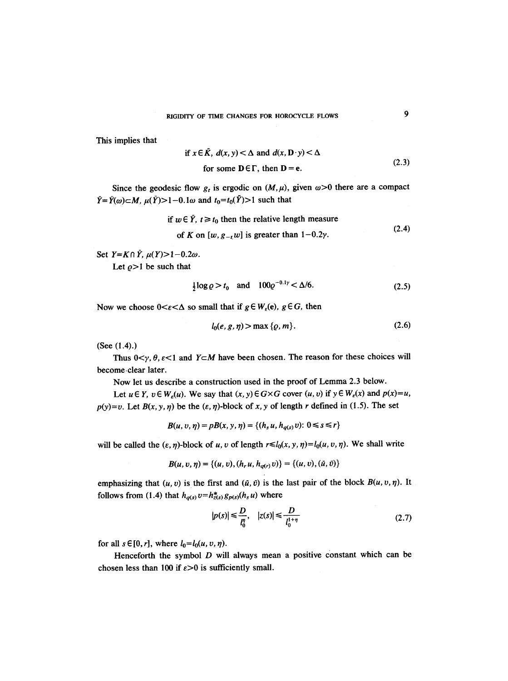This implies that

if 
$$
x \in \tilde{K}
$$
,  $d(x, y) < \Delta$  and  $d(x, D \cdot y) < \Delta$   
for some  $D \in \Gamma$ , then  $D = e$ . (2.3)

Since the geodesic flow  $g_t$  is ergodic on  $(M,\mu)$ , given  $\omega>0$  there are a compact  $\overline{Y} = \overline{Y}(\omega) \subset M$ ,  $\mu(\overline{Y}) > 1 - 0.1\omega$  and  $t_0 = t_0(\overline{Y}) > 1$  such that

if 
$$
w \in \bar{Y}
$$
,  $t \ge t_0$  then the relative length measure  
of K on  $[w, g_{-t}w]$  is greater than  $1-0.2\gamma$ . (2.4)

Set  $Y=K\cap \bar{Y}$ ,  $\mu(Y)>1-0.2\omega$ .

Let  $\varrho$ >1 be such that

$$
\frac{1}{2}\log \varrho > t_0 \quad \text{and} \quad 100\varrho^{-0.1\gamma} < \Delta/6. \tag{2.5}
$$

Now we choose  $0 < \varepsilon < \Delta$  so small that if  $g \in W_{\varepsilon}(\mathbf{e}), g \in G$ , then

$$
l_0(e, g, \eta) > \max\{ \varrho, m \}. \tag{2.6}
$$

(See (1.4).)

Thus  $0 < \gamma, \theta, \varepsilon < 1$  and  $Y \subset M$  have been chosen. The reason for these choices will become.clear later.

Now let us describe a construction used in the proof of Lemma 2.3 below.

Let  $u \in Y$ ,  $v \in W<sub>e</sub>(u)$ . We say that  $(x, y) \in G \times G$  cover  $(u, v)$  if  $y \in W<sub>e</sub>(x)$  and  $p(x)=u$ ,  $p(y)=v$ . Let  $B(x, y, \eta)$  be the  $(\varepsilon, \eta)$ -block of x, y of length r defined in (1.5). The set

$$
B(u, v, \eta) = pB(x, y, \eta) = \{(h_s u, h_{q(s)} v): 0 \le s \le r\}
$$

will be called the  $(\varepsilon, \eta)$ -block of *u*, *v* of length  $r \le l_0(x, y, \eta) = l_0(u, v, \eta)$ . We shall write

 $B(u, v, \eta) = \{(u, v), (h, u, h_{q(r)}, v)\} = \{(u, v), (\bar{u}, \bar{v})\}$ 

emphasizing that  $(u, v)$  is the first and  $(\bar{u}, \bar{v})$  is the last pair of the block  $B(u, v, \eta)$ . It follows from (1.4) that  $h_{q(s)}v=h_{z(s)}^*g_{p(s)}(h_s u)$  where

$$
|p(s)| \leq \frac{D}{l_0^n}, \quad |z(s)| \leq \frac{D}{l_0^{1+\eta}}
$$
\n
$$
(2.7)
$$

for all  $s \in [0, r]$ , where  $l_0=l_0(u, v, \eta)$ .

Henceforth the symbol  $D$  will always mean a positive constant which can be chosen less than 100 if  $\varepsilon > 0$  is sufficiently small.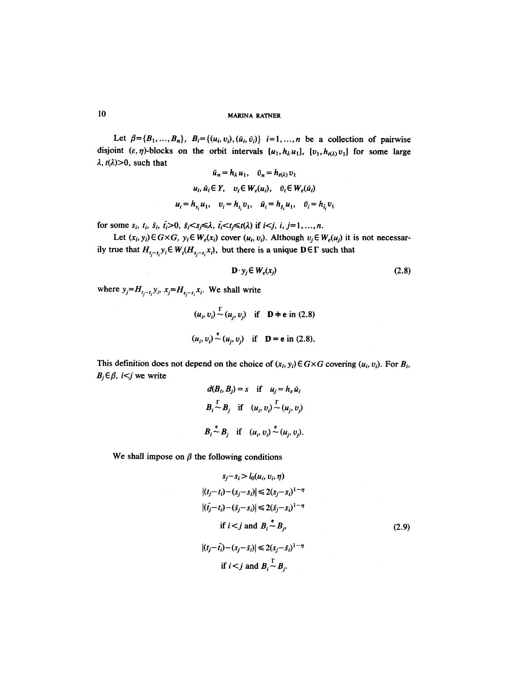Let  $\beta = \{B_1, ..., B_n\}$ ,  $B_i = \{(u_i, v_i), (\bar{u}_i, \bar{v}_i)\}$   $i=1, ..., n$  be a collection of pairwise disjoint  $(\varepsilon, \eta)$ -blocks on the orbit intervals  $[u_1, h_\lambda u_1]$ ,  $[v_1, h_{\varepsilon(\lambda)}v_1]$  for some large  $\lambda$ ,  $t(\lambda)$ >0, such that  $\bar{u} = h, u, \quad \bar{v} = h, \ldots v$ 

$$
u_{n} - h_{\lambda} u_{1}, \quad v_{n} - h_{t(\lambda)} v_{1}
$$
  

$$
u_{i}, \bar{u}_{i} \in Y, \quad v_{i} \in W_{\varepsilon}(u_{i}), \quad \bar{v}_{i} \in W_{\varepsilon}(\bar{u}_{i})
$$
  

$$
u_{i} = h_{s_{i}} u_{1}, \quad v_{i} = h_{t_{i}} v_{1}, \quad \bar{u}_{i} = h_{\bar{s}_{i}} u_{1}, \quad \bar{v}_{i} = h_{\bar{t}_{i}} v_{1}
$$

for some  $s_i$ ,  $t_i$ ,  $\bar{s}_i$ ,  $\bar{t}_i > 0$ ,  $\bar{s}_i < s_j \leq \lambda$ ,  $\bar{t}_i < t_j \leq t(\lambda)$  if  $i < j$ ,  $i, j = 1, ..., n$ .

Let  $(x_i, y_i) \in G \times G$ ,  $y_i \in W_e(x_i)$  cover  $(u_i, v_i)$ . Although  $v_j \in W_e(u_j)$  it is not necessarily true that  $H_{t_i-t_i}y_i \in W_e(H_{s_i-s_i}x_i)$ , but there is a unique  $D \in \Gamma$  such that

$$
\mathbf{D} \cdot \mathbf{y}_j \in \mathbf{W}_e(\mathbf{x}_j) \tag{2.8}
$$

where  $y_j = H_{t_j-t_i} y_i$ ,  $x_j = H_{s_j-s_i} x_i$ . We shall write

$$
(u_i, v_i) \sim (u_j, v_j) \quad \text{if} \quad \mathbf{D} \neq \mathbf{e} \text{ in (2.8)}
$$
  

$$
(u_i, v_i) \sim (u_j, v_j) \quad \text{if} \quad \mathbf{D} = \mathbf{e} \text{ in (2.8)}.
$$

This definition does not depend on the choice of  $(x_i, y_i) \in G \times G$  covering  $(u_i, v_i)$ . For  $B_i$ ,  $B_j \in \beta$ , *i* $\lt j$  we write

$$
d(B_i, B_j) = s \quad \text{if} \quad u_j = h_s \bar{u}_i
$$
\n
$$
B_i \sim B_j \quad \text{if} \quad (u_i, v_i) \sim (u_j, v_j)
$$
\n
$$
B_i \sim B_j \quad \text{if} \quad (u_i, v_i) \sim (u_j, v_j).
$$

We shall impose on  $\beta$  the following conditions

$$
s_j - s_i > l_0(u_i, v_i, \eta)
$$
  
\n
$$
|(t_j - t_i) - (s_j - s_i)| \le 2(s_j - s_i)^{1 - \eta}
$$
  
\n
$$
|(t_j - t_i) - (s_j - s_i)| \le 2(s_j - s_i)^{1 - \eta}
$$
  
\nif  $i < j$  and  $B_i \sim B_j$ ,  
\n
$$
|(t_j - \tilde{t}_i) - (s_j - \tilde{s}_i)| \le 2(s_j - \tilde{s}_i)^{1 - \eta}
$$
  
\nif  $i < j$  and  $B_i \sim B_j$ .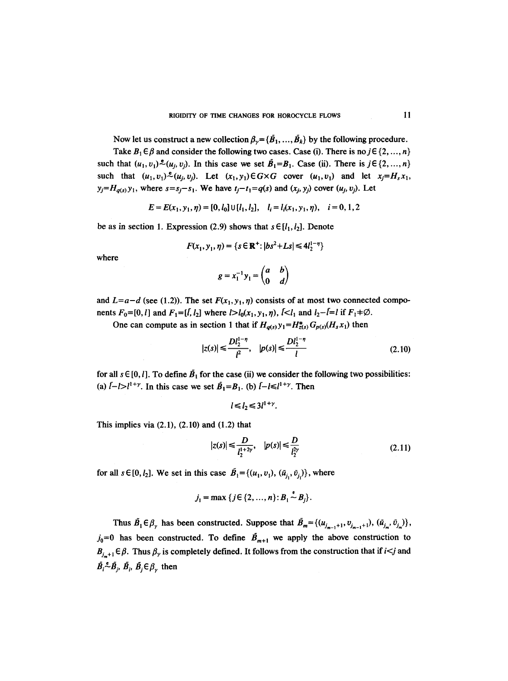Now let us construct a new collection  $\beta_{\nu} = {\{\tilde{B}_1, ..., \tilde{B}_k\}}$  by the following procedure.

Take  $B_1 \in \beta$  and consider the following two cases. Case (i). There is no  $j \in \{2, ..., n\}$ such that  $(u_1, v_1)$ <sup>e</sup> $(u_i, v_j)$ . In this case we set  $\tilde{B}_1 = B_1$ . Case (ii). There is  $j \in \{2, ..., n\}$ such that  $(u_1, v_1)$ <sup>e</sup> $(u_i, v_j)$ . Let  $(x_1, y_1) \in G \times G$  cover  $(u_1, v_1)$  and let  $x_i = H_s x_1$ ,  $y_j = H_{q(s)}y_1$ , where  $s = s_j - s_1$ . We have  $t_j - t_1 = q(s)$  and  $(x_i, y_j)$  cover  $(u_i, v_j)$ . Let

$$
E = E(x_1, y_1, \eta) = [0, l_0] \cup [l_1, l_2], \quad l_i = l_i(x_1, y_1, \eta), \quad i = 0, 1, 2
$$

be as in section 1. Expression (2.9) shows that  $s \in [l_1, l_2]$ . Denote

$$
F(x_1, y_1, \eta) = \{ s \in \mathbb{R}^+ : |bs^2 + Ls| \le 4l_2^{1-\eta} \}
$$

where

$$
g = x_1^{-1} y_1 = \begin{pmatrix} a & b \\ 0 & d \end{pmatrix}
$$

and  $L=a-d$  (see (1.2)). The set  $F(x_1, y_1, \eta)$  consists of at most two connected components  $F_0=[0, l]$  and  $F_1=[l, l_2]$  where  $l>l_0(x_1, y_1, \eta)$ ,  $l and  $l_2-l=l$  if  $F_1+\emptyset$ .$ 

One can compute as in section 1 that if  $H_{q(s)}y_1=H_{z(s)}^*G_{p(s)}(H_sx_1)$  then

$$
|z(s)| \le \frac{D l_2^{1-\eta}}{l^2}, \quad |p(s)| \le \frac{D l_2^{1-\eta}}{l}
$$
 (2.10)

for all  $s \in [0, l]$ . To define  $\tilde{B}_1$  for the case (ii) we consider the following two possibilities: (a)  $\hat{i} - i > i^{1+\gamma}$ . In this case we set  $\hat{B}_1 = B_1$ . (b)  $\hat{i} - i \le i^{1+\gamma}$ . Then

$$
l \leq l_2 \leq 3l^{1+\gamma}.
$$

This implies via  $(2.1)$ ,  $(2.10)$  and  $(1.2)$  that

$$
|z(s)| \leq \frac{D}{l_2^{1+2\gamma}}, \quad |p(s)| \leq \frac{D}{l_2^{2\gamma}} \tag{2.11}
$$

for all  $s \in [0, l_2]$ . We set in this case  $\mathbf{B}_1 = \{(u_1, v_1), (\bar{u}_{j_1}, \bar{v}_{j_1})\}$ , where

$$
j_1 = \max \left\{ j \in \{2, ..., n\} : B_1 \stackrel{e}{\sim} B_j \right\}.
$$

Thus  $\tilde{B}_1 \in \beta_\gamma$  has been constructed. Suppose that  $\tilde{B}_m = \{ (u_{j_{m-1}+1}, v_{j_{m-1}+1}), (u_{j_m}, v_{j_m}) \},$  $j_0=0$  has been constructed. To define  $\tilde{B}_{m+1}$  we apply the above construction to  $B_{j+1} \in \beta$ . Thus  $\beta_{\gamma}$  is completely defined. It follows from the construction that if *i* $\leq j$  and  $\tilde{B}_i^{\epsilon} \stackrel{\epsilon}{\sim} \tilde{B}_i$ ,  $\tilde{B}_i$ ,  $\tilde{B}_j \in \beta$ , then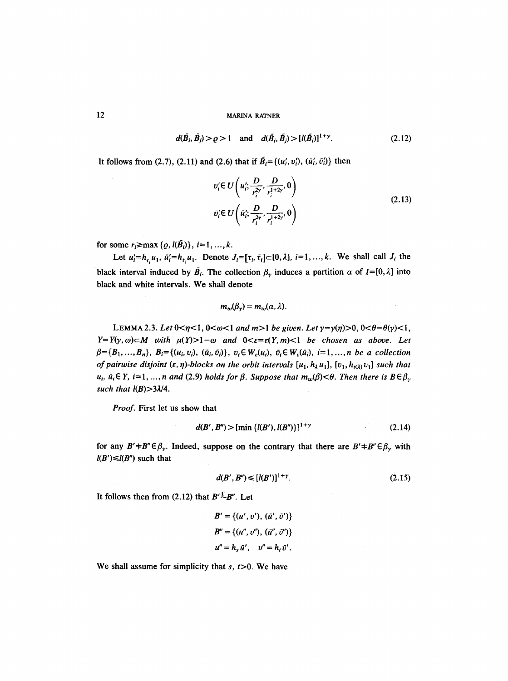$$
d(\tilde{B}_i, \tilde{B}_j) > \varrho > 1
$$
 and  $d(\tilde{B}_i, \tilde{B}_j) > [l(\tilde{B}_i)]^{1+\gamma}$ . (2.12)

It follows from (2.7), (2.11) and (2.6) that if  $\tilde{B}_i = \{(u'_i, v'_i), (\tilde{u}'_i, \tilde{v}'_i)\}\)$  then

$$
v_i' \in U\left(u_i'; \frac{D}{r_i^{2\gamma}}, \frac{D}{r_i^{1+2\gamma}}, 0\right) \n\bar{v}_i' \in U\left(\bar{u}_i'; \frac{D}{r_i^{2\gamma}}, \frac{D}{r_i^{1+2\gamma}}, 0\right)
$$
\n(2.13)

for some  $r_i \ge \max{\{\rho, l(\tilde{B}_i)\}, i=1, ..., k.}$ 

Let  $u'_i=h_{\tau_i}u_1$ ,  $\bar{u}'_i=h_{\bar{t}_i}u_1$ . Denote  $J_i=[\tau_i,\bar{\tau}_i]\subset [0,\lambda]$ ,  $i=1,\ldots,k$ . We shall call  $J_i$  the black interval induced by  $\tilde{B}_i$ . The collection  $\beta_{\gamma}$  induces a partition  $\alpha$  of I=[0,  $\lambda$ ] into black and white intervals. We shall denote

$$
m_w(\beta_\gamma)=m_w(\alpha,\lambda).
$$

LEMMA 2.3. Let  $0 < \eta < 1$ ,  $0 < \omega < 1$  and  $m > 1$  be given. Let  $\gamma = \gamma(\eta) > 0$ ,  $0 < \theta = \theta(\gamma) < 1$ ,  $Y=Y(y,\omega)\subset M$  with  $\mu(Y)>1-\omega$  and  $0<\varepsilon=\varepsilon(Y,m)<1$  be chosen as above. Let  $\beta = \{B_1, ..., B_n\}, B_i = \{(u_i, v_i), (\bar{u}_i, \bar{v}_i)\}, v_i \in W_{\epsilon}(u_i), \bar{v}_i \in W_{\epsilon}(\bar{u}_i), i=1, ..., n \text{ be a collection}\}$ *of pairwise disjoint*  $(\varepsilon, \eta)$ -blocks on the orbit intervals  $[u_1, h_\lambda u_1]$ ,  $[v_1, h_{\nu(\lambda)} v_1]$  such that  $u_i$ ,  $\bar{u}_i \in Y$ ,  $i=1, ..., n$  and (2.9) holds for  $\beta$ . Suppose that  $m_w(\beta) < \theta$ . Then there is  $B \in \beta_v$ *such that I(B)>3M4.* 

*Proof.* First let us show that

$$
d(B', B'') > [\min\left\{l(B'), l(B'')\right\}]^{1+\gamma} \tag{2.14}
$$

for any  $B'+B''\epsilon\beta_{\gamma}$ . Indeed, suppose on the contrary that there are  $B'+B''\epsilon\beta_{\gamma}$  with  $l(B') \le l(B'')$  such that

$$
d(B', B'') \leq [l(B')]^{1+\gamma}.
$$
\n(2.15)

It follows then from (2.12) that  $B'^L \rightarrow B''$ . Let

$$
B' = \{ (u', v'), (\bar{u}', \bar{v}') \}
$$
  

$$
B'' = \{ (u'', v''), (\bar{u}'', \bar{v}'') \}
$$
  

$$
u'' = h_s \bar{u}', \quad v'' = h_t \bar{v}'.
$$

We shall assume for simplicity that  $s, t>0$ . We have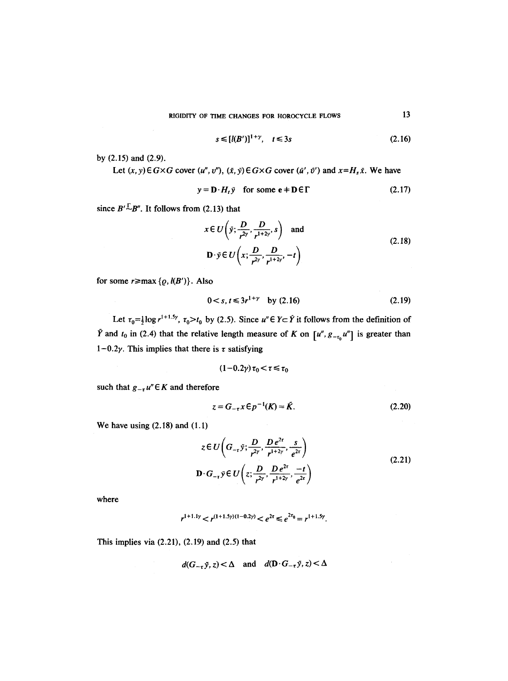$$
s \leq [l(B')]^{1+\gamma}, \quad t \leq 3s \tag{2.16}
$$

by (2.15) and (2.9).

Let  $(x, y) \in G \times G$  cover  $(u'', v'')$ ,  $(\bar{x}, \bar{y}) \in G \times G$  cover  $(\bar{u}', \bar{v}')$  and  $x = H_s \bar{x}$ . We have

$$
y = \mathbf{D} \cdot H_t \bar{y} \quad \text{for some } \mathbf{e} + \mathbf{D} \in \Gamma \tag{2.17}
$$

since  $B'^{\mathbb{L}}B''$ . It follows from (2.13) that

$$
x \in U\left(\bar{y}; \frac{D}{r^{2\gamma}}, \frac{D}{r^{1+2\gamma}}, s\right) \text{ and}
$$
  

$$
\mathbf{D} \cdot \bar{y} \in U\left(x; \frac{D}{r^{2\gamma}}, \frac{D}{r^{1+2\gamma}}, -t\right)
$$
 (2.18)

for some  $r \ge \max \{ \varrho, l(B') \}$ . Also

$$
0 < s, t \leq 3r^{1+\gamma} \quad \text{by (2.16)}\tag{2.19}
$$

Let  $\tau_0 = \frac{1}{2} \log r^{1+1.5y}$ ,  $\tau_0 > t_0$  by (2.5). Since  $u'' \in Y \subset \hat{Y}$  it follows from the definition of  $\bar{Y}$  and  $t_0$  in (2.4) that the relative length measure of K on  $[u'', g_{-\tau_0} u'']$  is greater than 1-0.2 $\gamma$ . This implies that there is  $\tau$  satisfying

$$
(1-0.2\gamma)\,\tau_0\!<\!\tau\!\leq\!\tau_0
$$

such that  $g_{-x}u'' \in K$  and therefore

$$
z = G_{-\tau} x \, \epsilon \, p^{-1}(K) = \bar{K}.
$$
 (2.20)

We have using  $(2.18)$  and  $(1.1)$ 

$$
z \in U\left(G_{-\tau}\tilde{y}; \frac{D}{r^{2\gamma}}, \frac{De^{2\tau}}{r^{1+2\gamma}}, \frac{s}{e^{2\tau}}\right)
$$
  

$$
\mathbf{D} \cdot G_{-\tau}\tilde{y} \in U\left(z; \frac{D}{r^{2\gamma}}, \frac{De^{2\tau}}{r^{1+2\gamma}}, \frac{-t}{e^{2\tau}}\right)
$$
(2.21)

where

$$
r^{1+1.1\gamma} < r^{(1+1.5\gamma)(1-0.2\gamma)} < e^{2\tau} \leq e^{2\tau_0} = r^{1+1.5\gamma}.
$$

This implies via **(2.21), (2.19) and (2.5)** that

$$
d(G_{-\tau}\bar{y},z) < \Delta
$$
 and  $d(D \cdot G_{-\tau}\bar{y},z) < \Delta$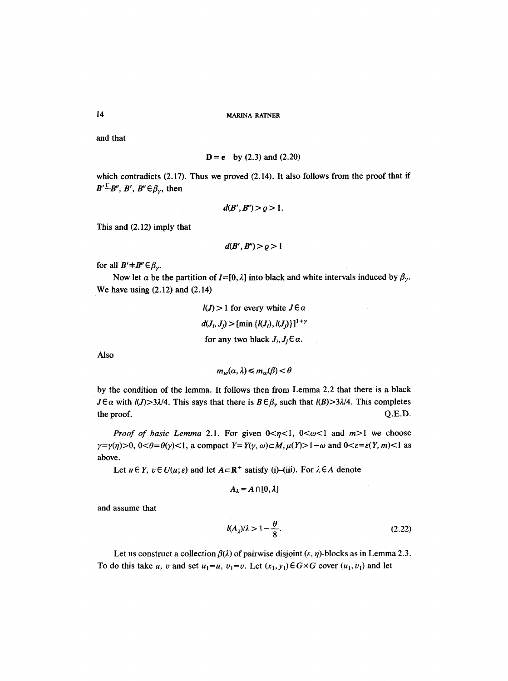and that

$$
D = e \quad by (2.3) \text{ and } (2.20)
$$

which contradicts (2.17). Thus we proved (2.14). It also follows from the proof that if  $B'\stackrel{\Gamma}{\sim}B''$ ,  $B'$ ,  $B''\in \beta_{\gamma}$ , then

$$
d(B',B'') > \varrho > 1.
$$

This and (2.12) imply that

$$
d(B',B'')>Q>1
$$

for all  $B' + B'' \in \beta_{\gamma}$ .

Now let  $\alpha$  be the partition of I=[0,  $\lambda$ ] into black and white intervals induced by  $\beta_{\gamma}$ . We have using (2.12) and (2.14)

> $l(J) > 1$  for every white  $J \in \alpha$  $d(J_i, J_i)$  > [min  $\{l(J_i), l(J_i)\}\]^{1+\gamma}$ for any two black  $J_i$ ,  $J_j \in \alpha$ .

Also

$$
m_w(\alpha,\lambda) \le m_w(\beta) < \theta
$$

by the condition of the lemma. It follows then from Lemma 2.2 that there is a black  $J \in \alpha$  with  $l(J) > 3\lambda/4$ . This says that there is  $B \in \beta_{\gamma}$  such that  $l(B) > 3\lambda/4$ . This completes the proof.  $Q.E.D.$ 

*Proof of basic Lemma 2.1.* For given  $0 < \eta < 1$ ,  $0 < \omega < 1$  and  $m > 1$  we choose  $\gamma = \gamma(\eta) > 0$ ,  $0 < \theta = \theta(\gamma) < 1$ , a compact  $Y = Y(\gamma, \omega) \subset M$ ,  $\mu(Y) > 1 - \omega$  and  $0 < \varepsilon = \varepsilon(Y, m) < 1$  as above.

Let  $u \in Y$ ,  $v \in U(u; \varepsilon)$  and let  $A \subset \mathbb{R}^+$  satisfy (i)-(iii). For  $\lambda \in A$  denote

$$
A_{\lambda}=A\cap[0,\lambda]
$$

and assume that

$$
l(A_{\lambda})/\lambda > 1 - \frac{\theta}{8}.
$$
 (2.22)

Let us construct a collection  $\beta(\lambda)$  of pairwise disjoint  $(\varepsilon, \eta)$ -blocks as in Lemma 2.3. To do this take u, v and set  $u_1 = u$ ,  $v_1 = v$ . Let  $(x_1, y_1) \in G \times G$  cover  $(u_1, v_1)$  and let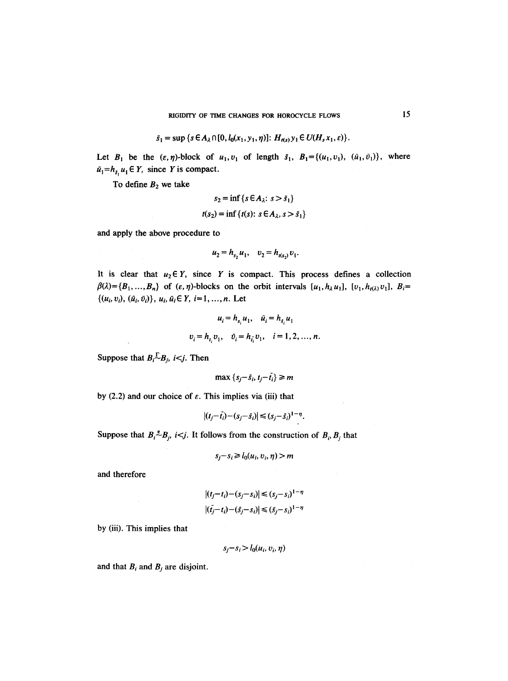RIGIDITY OF TIME CHANGES FOR HOROCYCLE FLOWS

$$
\bar{s}_1 = \sup \{ s \in A_{\lambda} \cap [0, l_0(x_1, y_1, \eta)] : H_{t(s)} y_1 \in U(H_s x_1, \varepsilon) \}.
$$

Let  $B_1$  be the  $(\varepsilon,\eta)$ -block of  $u_1,v_1$  of length  $\bar{s}_1$ ,  $B_1 = \{(u_1,v_1), (u_1,\bar{v}_1)\}$ , where  $\bar{u}_1 = h_{\bar{s}_1} u_1 \in Y$ , since Y is compact.

To define  $B_2$  we take

$$
s_2 = \inf \{ s \in A_\lambda : s > \bar{s}_1 \}
$$
  

$$
t(s_2) = \inf \{ t(s) : s \in A_\lambda, s > \bar{s}_1 \}
$$

and apply the above procedure to

$$
u_2 = h_{s_2} u_1, \quad v_2 = h_{t(s_2)} v_1.
$$

It is clear that  $u_2 \in Y$ , since Y is compact. This process defines a collection  $\beta(\lambda) = \{B_1, ..., B_n\}$  of  $(\varepsilon, \eta)$ -blocks on the orbit intervals  $[u_1, h_\lambda u_1], [v_1, h_{\iota(\lambda)} v_1], B_i =$  $\{(u_i, v_i), (\bar{u}_i, \bar{v}_i)\}, u_i, \bar{u}_i \in Y, i=1, ..., n$ . Let

$$
u_i = h_{s_i} u_1, \quad \bar{u}_i = h_{s_i} u_1
$$
  

$$
v_i = h_{t_i} v_1, \quad \bar{v}_i = h_{\bar{t}_i} v_1, \quad i = 1, 2, ..., n.
$$

Suppose that  $B_i^T B_j$ ,  $i < j$ . Then

$$
\max\left\{s_j-\bar{s}_i, t_j-\bar{t}_i\right\}\geq m
$$

by (2.2) and our choice of  $\varepsilon$ . This implies via (iii) that

$$
|(t_j-\bar{t}_i)-(s_j-\bar{s}_i)| \leq (s_j-\bar{s}_i)^{1-\eta}.
$$

Suppose that  $B_i^* \stackrel{\epsilon}{\sim} B_j$ ,  $i < j$ . It follows from the construction of  $B_i, B_j$  that

$$
s_j - s_i \ge l_0(u_i, v_i, \eta) > m
$$

and therefore

$$
\begin{aligned} \left| (t_j - t_i) - (s_j - s_i) \right| &\le (s_j - s_i)^{1 - \eta} \\ \left| (\bar{t}_j - t_i) - (\bar{s}_j - s_i) \right| &\le (\bar{s}_j - s_i)^{1 - \eta} \end{aligned}
$$

by (iii). This implies that

$$
s_j - s_i > l_0(u_i, v_i, \eta)
$$

and that  $B_i$  and  $B_j$  are disjoint.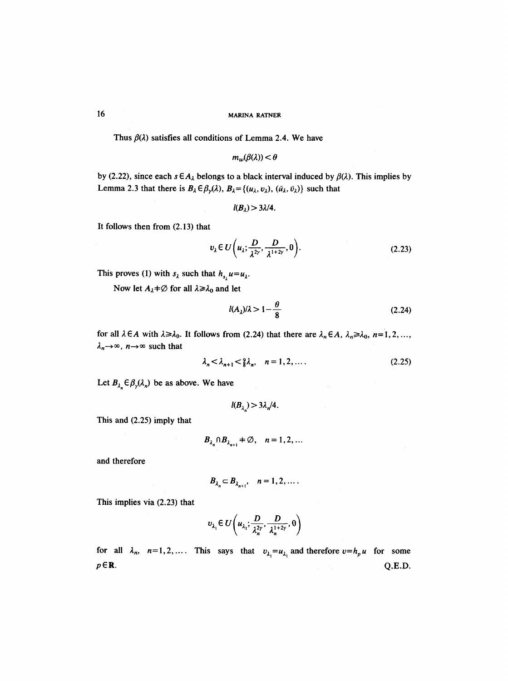Thus  $\beta(\lambda)$  satisfies all conditions of Lemma 2.4. We have

 $\mathcal{L}$ 

$$
m_w(\beta(\lambda)) < \theta
$$

by (2.22), since each  $s \in A_\lambda$  belongs to a black interval induced by  $\beta(\lambda)$ . This implies by Lemma 2.3 that there is  $B_{\lambda} \in \beta_{\gamma}(\lambda)$ ,  $B_{\lambda} = \{(u_{\lambda}, v_{\lambda}), (u_{\lambda}, \bar{v}_{\lambda})\}$  such that

 $l(B_\lambda)$  > 3 $\lambda$ /4.

It follows then from (2.13) that

$$
v_{\lambda} \in U\left(u_{\lambda}; \frac{D}{\lambda^{2\gamma}}, \frac{D}{\lambda^{1+2\gamma}}, 0\right). \tag{2.23}
$$

This proves (1) with  $s_{\lambda}$  such that  $h_{s_{\lambda}} u = u_{\lambda}$ .

Now let  $A_{\lambda} \neq \emptyset$  for all  $\lambda \geq \lambda_0$  and let

$$
l(A_{\lambda})/\lambda > 1 - \frac{\theta}{8}
$$
 (2.24)

for all  $\lambda \in A$  with  $\lambda \ge \lambda_0$ . It follows from (2.24) that there are  $\lambda_n \in A$ ,  $\lambda_n \ge \lambda_0$ , n=1,2,...  $\lambda_n \rightarrow \infty$ ,  $n \rightarrow \infty$  such that

$$
\lambda_n < \lambda_{n+1} < \frac{9}{8}\lambda_n, \quad n = 1, 2, \dots
$$
 (2.25)

Let  $B_{\lambda_n} \in \beta_{\gamma}(\lambda_n)$  be as above. We have

$$
l(B_{\lambda}) > 3\lambda_n/4.
$$

This and (2.25) imply that

$$
B_{\lambda} \cap B_{\lambda} \neq \emptyset, \quad n = 1, 2, \dots
$$

and therefore

$$
B_{\lambda_n} \subset B_{\lambda_{n+1}}, \quad n = 1, 2, \ldots.
$$

This implies via (2.23) that

$$
v_{\lambda_1} \in U\left(u_{\lambda_1}; \frac{D}{\lambda_n^{2\gamma}}, \frac{D}{\lambda_n^{1+2\gamma}}, 0\right)
$$

for all  $\lambda_n$ ,  $n=1,2,...$ . This says that  $v_{\lambda_1}=u_{\lambda_1}$  and therefore  $v=h_pu$  for some  $p \in \mathbf{R}$ . Q.E.D.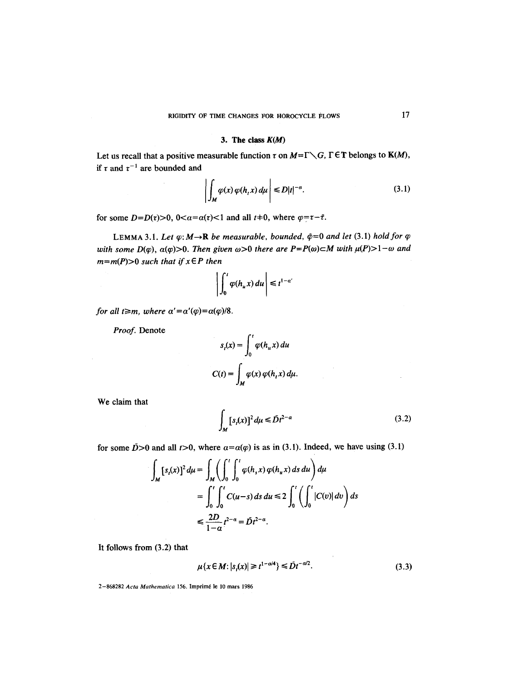#### **3. The class K(M)**

Let us recall that a positive measurable function  $\tau$  on  $M=\Gamma\setminus G$ ,  $\Gamma\in\mathbb{T}$  belongs to  $K(M)$ , if  $\tau$  and  $\tau^{-1}$  are bounded and

$$
\left| \int_{M} \varphi(x) \, \varphi(h, x) \, d\mu \right| \le D|t|^{-\alpha}.\tag{3.1}
$$

for some  $D=D(\tau)>0$ ,  $0 and all  $t=0$ , where  $\varphi=\tau-\bar{\tau}$ .$ 

LEMMA 3.1. Let  $\varphi: M \rightarrow \mathbb{R}$  *be measurable, bounded,*  $\varphi = 0$  *and let* (3.1) *hold for*  $\varphi$ *with some D(* $\varphi$ *),*  $\alpha(\varphi)$ *>0. Then given*  $\omega$ *>0 there are P=P(* $\omega$ *)* $\subset$ *M with*  $\mu$ *(P)>1-* $\omega$  *and m=m(P)>O such that if xEP then* 

$$
\left|\int_0^t \varphi(h_u x) \, du\right| \leq t^{1-\alpha'}
$$

*for all t* $\geq m$ *, where*  $\alpha' = \alpha'(\varphi) = \alpha(\varphi)/8$ *.* 

 $\mathcal{L}_{\mathrm{in}}$ 

*Proof.* Denote

$$
s_i(x) = \int_0^t \varphi(h_u x) du
$$
  

$$
C(t) = \int_M \varphi(x) \varphi(h_i x) d\mu.
$$

We claim that

$$
\int_{M} [s_{i}(x)]^{2} d\mu \leq D t^{2-\alpha}
$$
\n(3.2)

for some  $\bar{D}$ >0 and all t>0, where  $\alpha = \alpha(\varphi)$  is as in (3.1). Indeed, we have using (3.1)

$$
\int_{M} [s_{t}(x)]^{2} d\mu = \int_{M} \left( \int_{0}^{t} \int_{0}^{t} \varphi(h_{s} x) \varphi(h_{u} x) ds du \right) d\mu
$$
  
= 
$$
\int_{0}^{t} \int_{0}^{t} C(u-s) ds du \le 2 \int_{0}^{t} \left( \int_{0}^{t} |C(v)| dv \right) ds
$$
  

$$
\le \frac{2D}{1-\alpha} t^{2-\alpha} = D t^{2-\alpha}.
$$

It follows from (3.2) that

$$
\mu\{x \in M : |s_i(x)| \ge t^{1 - \alpha/4}\} \le \bar{D}t^{-\alpha/2}.
$$
\n(3.3)

2-868282 *Acta Mathematica* 156. Imprim6 le 10 mars 1986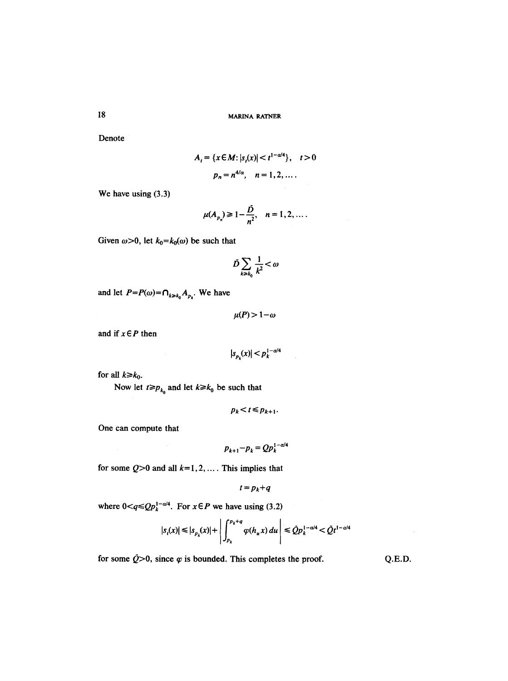Denote

$$
A_{t} = \{x \in M : |s_{t}(x)| < t^{1 - \alpha/4}\}, \quad t > 0
$$

$$
p_{n} = n^{4/\alpha}, \quad n = 1, 2, ....
$$

We have using  $(3.3)$ 

$$
\mu(A_{p_n}) \geq 1 - \frac{\bar{D}}{n^2}, \quad n = 1, 2, \dots
$$

Given  $\omega > 0$ , let  $k_0 = k_0(\omega)$  be such that

$$
\bar{D}\sum_{k\geq k_0}\frac{1}{k^2}<\omega
$$

and let  $P = P(\omega) = \bigcap_{k \ge k_0} A_{p_k}$ . We have

$$
\mu(P) > 1 - \omega
$$

and if  $x \in P$  then

 $|s_{p_k}(x)| < p_k^{1-\alpha/4}$ 

for all  $k \ge k_0$ .

Now let  $t \ge p_{k_0}$  and let  $k \ge k_0$  be such that

$$
p_k < t \leq p_{k+1}.
$$

One can compute that

$$
p_{k+1} - p_k = Q p_k^{1 - a/4}
$$

for some  $Q>0$  and all  $k=1, 2, \ldots$ . This implies that

$$
t=p_k+q
$$

where  $0 < q \le Qp_k^{1-\alpha/4}$ . For  $x \in P$  we have using (3.2)

$$
|s_t(x)| \le |s_{p_k}(x)| + \left| \int_{p_k}^{p_k+q} \varphi(h_u x) \, du \right| \le \bar{Q} p_k^{1-a/4} < \bar{Q} t^{1-a/4}
$$

for some  $\overline{Q}$  >0, since  $\varphi$  is bounded. This completes the proof. Q.E.D.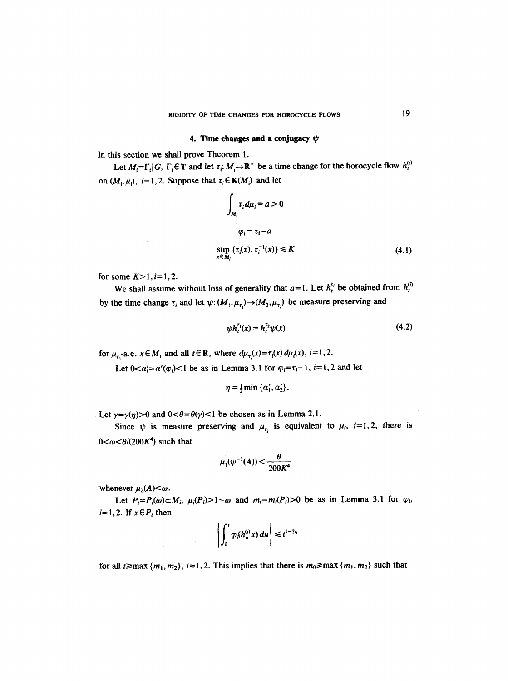#### **4. Time changes and a conjugacy**  $\psi$

In this section we shall prove Theorem 1.

Let  $M_i = \Gamma_i | G$ ,  $\Gamma_i \in \mathbf{T}$  and let  $\tau_i : M_i \to \mathbf{R}^+$  be a time change for the horocycle flow  $h_i^{(i)}$ on  $(M_i, \mu_i)$ , *i*=1,2. Suppose that  $\tau_i \in K(M_i)$  and let

$$
\int_{M_i} \tau_i d\mu_i = a > 0
$$
\n
$$
\varphi_i = \tau_i - a
$$
\n
$$
\sup_{x \in M_i} {\tau_i(x), \tau_i^{-1}(x)} \le K
$$
\n(4.1)

for some  $K>1, i=1, 2$ .

We shall assume without loss of generality that  $a=1$ . Let  $h_t^{\tau_i}$  be obtained from  $h_t^{(i)}$ by the time change  $\tau_i$  and let  $\psi : (M_1,\mu_{\tau_1}) \rightarrow (M_2,\mu_{\tau_2})$  be measure preserving and

$$
\psi h_t^{\tau_1}(x) = h_t^{\tau_2} \psi(x)
$$
 (4.2)

for  $\mu_{\tau}$ -a.e.  $x \in M_1$  and all  $t \in \mathbb{R}$ , where  $d\mu_{\tau}(x) = \tau_i(x) d\mu_i(x)$ ,  $i=1,2$ .

Let  $0 < a'_{i} = a'(\varphi_{i}) < 1$  be as in Lemma 3.1 for  $\varphi_{i} = \tau_{i} - 1$ ,  $i = 1, 2$  and let

$$
\eta = \frac{1}{2} \min \left\{ \alpha'_1, \alpha'_2 \right\}.
$$

Let  $\gamma = \gamma(\eta) > 0$  and  $0 < \theta = \theta(\gamma) < 1$  be chosen as in Lemma 2.1.

Since  $\psi$  is measure preserving and  $\mu_{\tau}$  is equivalent to  $\mu_{i}$ , i=1,2, there is  $0 < \omega < \theta/(200K^4)$  such that

$$
\mu_1(\psi^{-1}(A)) < \frac{\theta}{200K^4}
$$

whenever  $\mu_2(A) < \omega$ .

Let  $P_i = P_i(\omega) \subset M_i$ ,  $\mu_i(P_i) > 1 - \omega$  and  $m_i = m_i(P_i) > 0$  be as in Lemma 3.1 for  $\varphi_i$ ,  $i=1,2$ . If  $x \in P_i$  then

$$
\left|\int_0^t \varphi_i(h_u^{(i)}x)\,du\right|\leq t^{1-2\eta}
$$

for all  $t\geq max \{m_1, m_2\}$ ,  $i=1,2$ . This implies that there is  $m_0\geq max \{m_1, m_2\}$  such that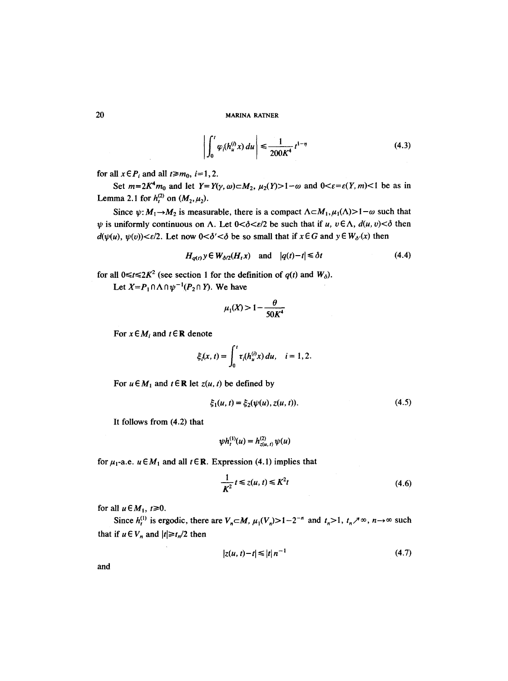$$
\left| \int_0^t \varphi_i(h_u^{(i)} x) \, du \right| \leq \frac{1}{200 K^4} \, t^{1-\eta} \tag{4.3}
$$

for all  $x \in P_i$  and all  $t \ge m_0$ ,  $i=1,2$ .

Set  $m=2K^4m_0$  and let  $Y=Y(y, \omega)\subset M_2$ ,  $\mu_2(Y)>1-\omega$  and  $0<\varepsilon=\varepsilon(Y, m)<1$  be as in Lemma 2.1 for  $h_t^{(2)}$  on  $(M_2,\mu_2)$ .

Since  $\psi: M_1 \rightarrow M_2$  is measurable, there is a compact  $\Lambda \subset M_1$ ,  $\mu_1(\Lambda) > 1-\omega$  such that  $\psi$  is uniformly continuous on  $\Lambda$ . Let  $0<\delta<\varepsilon/2$  be such that if u,  $v \in \Lambda$ ,  $d(u, v) < \delta$  then  $d(\psi(u), \psi(v)) < \varepsilon/2$ . Let now  $0 < \delta' < \delta$  be so small that if  $x \in G$  and  $y \in W_{\delta'}(x)$  then

$$
H_{q(t)} y \in W_{\delta/2}(H_t x) \quad \text{and} \quad |q(t) - t| \le \delta t \tag{4.4}
$$

for all  $0 \le t \le 2K^2$  (see section 1 for the definition of  $q(t)$  and  $W_0$ ).

Let  $X = P_1 \cap \Lambda \cap \psi^{-1}(P_2 \cap Y)$ . We have

$$
\mu_1(X) > 1 - \frac{\theta}{50K^4}
$$

For  $x \in M_i$  and  $t \in \mathbb{R}$  denote

$$
\xi_i(x, t) = \int_0^t \tau_i(h_u^{(i)} x) du, \quad i = 1, 2.
$$

For  $u \in M_1$  and  $t \in \mathbb{R}$  let  $z(u, t)$  be defined by

$$
\xi_1(u,t) = \xi_2(\psi(u), z(u,t)).
$$
\n(4.5)

It follows from (4.2) that

$$
\psi h_t^{(1)}(u) = h_{z(u, t)}^{(2)} \psi(u)
$$

for  $\mu_1$ -a.e.  $u \in M_1$  and all  $t \in \mathbb{R}$ . Expression (4.1) implies that

$$
\frac{1}{K^2}t \le z(u,t) \le K^2t \tag{4.6}
$$

for all  $u \in M_1$ ,  $t \ge 0$ .

Since  $h_t^{(1)}$  is ergodic, there are  $V_n \subset M$ ,  $\mu_1(V_n) > 1 - 2^{-n}$  and  $t_n > 1$ ,  $t_n \nearrow \infty$ ,  $n \to \infty$  such that if  $u \in V_n$  and  $|t| \ge t_n/2$  then

$$
|z(u, t) - t| \le |t| \, n^{-1} \tag{4.7}
$$

and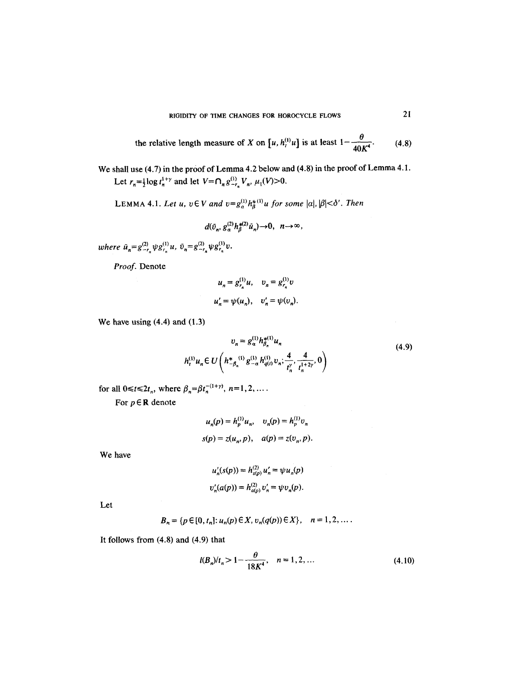the relative length measure of X on [u, 
$$
h_l^{(1)}u
$$
] is at least  $1 - \frac{\theta}{40K^4}$ . (4.8)

We shall use (4.7) in the proof of Lemma 4.2 below and (4.8) in the proof of Lemma 4.1. Let  $r_n = \frac{1}{2} \log t_n^{1+\gamma}$  and let  $V = \bigcap_n g_{-r_n}^{(1)} V_n$ ,  $\mu_1(V) > 0$ .

LEMMA 4.1. Let u,  $v \in V$  and  $v = g_a^{(1)} h_\beta^{*(1)} u$  for some  $|\alpha|, |\beta| < \delta'$ . Then

$$
d(\bar{v}_n, g_{\alpha}^{(2)} h_{\beta}^{*(2)} \bar{u}_n) \rightarrow 0, \ \ n \rightarrow \infty,
$$

 $where \ \bar{u}_n = g_{-r_n}^{(2)} \psi g_{r_n}^{(1)} u, \ \bar{v}_n = g_{-r_n}^{(2)} \psi g_{r_n}^{(1)} v.$ 

*Proof.* Denote

$$
u_n = g_{r_n}^{(1)} u, \quad v_n = g_{r_n}^{(1)} v
$$
  

$$
u'_n = \psi(u_n), \quad v'_n = \psi(v_n).
$$

We have using  $(4.4)$  and  $(1.3)$ 

$$
v_n = g_\alpha^{(1)} h_{\beta_n}^{*(1)} u_n
$$
  
\n
$$
h_t^{(1)} u_n \in U\left(h_{-\beta_n}^{*(1)} g_{-\alpha}^{(1)} h_{q(t)}^{(1)} v_n; \frac{4}{t_n^{''}}, \frac{4}{t_n^{(1+2\gamma)}}, 0\right)
$$
\n(4.9)

for all  $0 \le t \le 2t_n$ , where  $\beta_n = \beta t_n^{-(1+\gamma)}$ ,  $n = 1, 2, ...$ .

For  $p \in \mathbb{R}$  denote

$$
u_n(p) = h_p^{(1)} u_n, \quad v_n(p) = h_p^{(1)} v_n
$$
  
s(p) = z(u\_n, p), \quad a(p) = z(v\_n, p).

We have

$$
u'_{n}(s(p)) = h_{s(p)}^{(2)} u'_{n} = \psi u_{n}(p)
$$
  

$$
v'_{n}(a(p)) = h_{a(p)}^{(2)} v'_{n} = \psi v_{n}(p).
$$

Let

$$
B_n = \{p \in [0, t_n]: u_n(p) \in X, v_n(q(p)) \in X\}, \quad n = 1, 2, \ldots.
$$

It follows from (4.8) and (4.9) that

$$
l(B_n)/t_n > 1 - \frac{\theta}{18K^4}, \quad n = 1, 2, ... \tag{4.10}
$$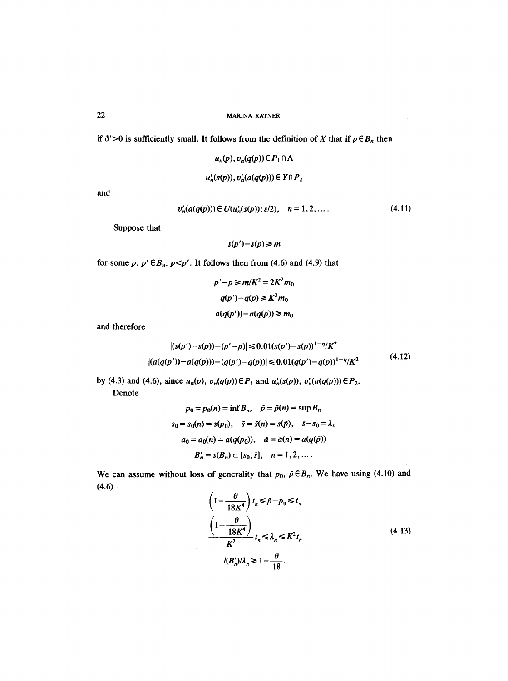if  $\delta' > 0$  is sufficiently small. It follows from the definition of X that if  $p \in B_n$  then

$$
u_n(p), v_n(q(p)) \in P_1 \cap \Lambda
$$
  

$$
u'_n(s(p)), v'_n(a(q(p))) \in Y \cap P_2
$$

and

$$
v'_n(a(q(p))) \in U(u'_n(s(p)); \varepsilon/2), \quad n = 1, 2, ... \tag{4.11}
$$

Suppose that

$$
s(p') - s(p) \ge m
$$

for some *p*,  $p' \in B_n$ ,  $p \leq p'$ . It follows then from (4.6) and (4.9) that

$$
p'-p \ge m/K^2 = 2K^2 m_0
$$
  
q(p')-q(p) \ge K^2 m\_0  

$$
a(q(p'))-a(q(p)) \ge m_0
$$

and therefore

$$
|(s(p') - s(p)) - (p' - p)| \le 0.01(s(p') - s(p))^{1 - \eta}/K^2
$$
  

$$
|(a(q(p')) - a(q(p))) - (q(p') - q(p))| \le 0.01(q(p') - q(p))^{1 - \eta}/K^2
$$
 (4.12)

by (4.3) and (4.6), since  $u_n(p)$ ,  $v_n(q(p)) \in P_1$  and  $u'_n(s(p))$ ,  $v'_n(a(q(p))) \in P_2$ . Denote

 $\hat{\mathcal{A}}$ 

$$
p_0 = p_0(n) = \inf B_n, \quad \bar{p} = \bar{p}(n) = \sup B_n
$$
  
\n
$$
s_0 = s_0(n) = s(p_0), \quad \bar{s} = \bar{s}(n) = s(\bar{p}), \quad \bar{s} - s_0 = \lambda_n
$$
  
\n
$$
a_0 = a_0(n) = a(q(p_0)), \quad \bar{a} = \bar{a}(n) = a(q(\bar{p}))
$$
  
\n
$$
B'_n = s(B_n) \subset [s_0, \bar{s}], \quad n = 1, 2, ....
$$

We can assume without loss of generality that  $p_0,~\bar{p} \in B_n$ . We have using (4.10) and (4.6)  $\sqrt{a}$ 

$$
\left(1 - \frac{\theta}{18K^4}\right)t_n \leq \bar{p} - p_0 \leq t_n
$$
\n
$$
\frac{\left(1 - \frac{\theta}{18K^4}\right)}{K^2}t_n \leq \lambda_n \leq K^2 t_n
$$
\n
$$
l(B'_n)/\lambda_n \geq 1 - \frac{\theta}{18}.
$$
\n(4.13)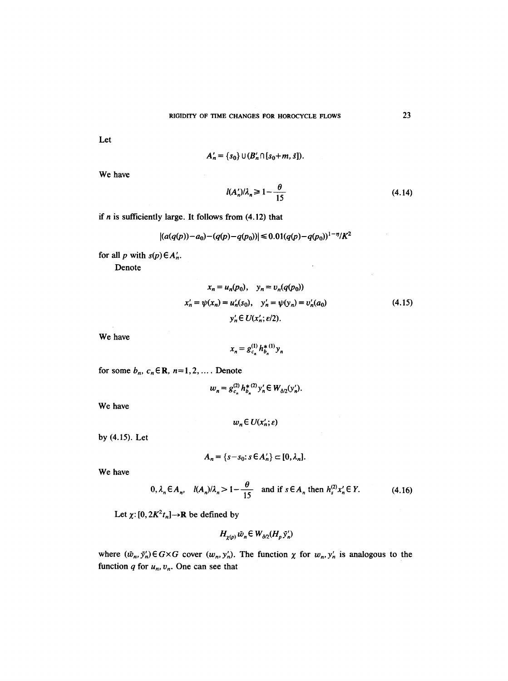Let

$$
A'_n = \{s_0\} \cup (B'_n \cap [s_0 + m, \bar{s}]).
$$

We have

$$
l(A'_n)/\lambda_n \ge 1 - \frac{\theta}{15} \tag{4.14}
$$

if  $n$  is sufficiently large. It follows from  $(4.12)$  that

$$
|(a(q(p))-a_0)-(q(p)-q(p_0))| \leq 0.01(q(p)-q(p_0))^{1-\eta}/K^2
$$

for all p with  $s(p) \in A'_n$ .

Denote

$$
x_n = u_n(p_0), \quad y_n = v_n(q(p_0))
$$
  
\n
$$
x'_n = \psi(x_n) = u'_n(s_0), \quad y'_n = \psi(y_n) = v'_n(a_0)
$$
  
\n
$$
y'_n \in U(x'_n; \varepsilon/2).
$$
\n(4.15)

We have

$$
x_n = g_{c_n}^{(1)} h_{b_n}^{*(1)} y_n
$$

for some  $b_n$ ,  $c_n \in \mathbb{R}$ ,  $n=1,2,...$ . Denote

$$
w_n = g_{c_n}^{(2)} h_{b_n}^{*(2)} y'_n \in W_{\delta/2}(y'_n).
$$

We have

 $w_n \in U(x'_n; \varepsilon)$ 

by (4.15). Let

$$
A_n = \{s - s_0 : s \in A'_n\} \subset [0, \lambda_n].
$$

We have

$$
0, \lambda_n \in A_n, \quad l(A_n)/\lambda_n > 1 - \frac{\theta}{15} \quad \text{and if } s \in A_n \text{ then } h_s^{(2)} x'_n \in Y. \tag{4.16}
$$

Let  $\chi$ :  $[0, 2K^2t_n] \rightarrow \mathbb{R}$  be defined by

$$
H_{\gamma(p)}\,\bar{w}_n\in W_{\delta/2}(H_p\,\bar{y}'_n)
$$

where  $(\bar{w}_n, \bar{y}'_n) \in G \times G$  cover  $(w_n, y'_n)$ . The function  $\chi$  for  $w_n, y'_n$  is analogous to the function  $q$  for  $u_n$ ,  $v_n$ . One can see that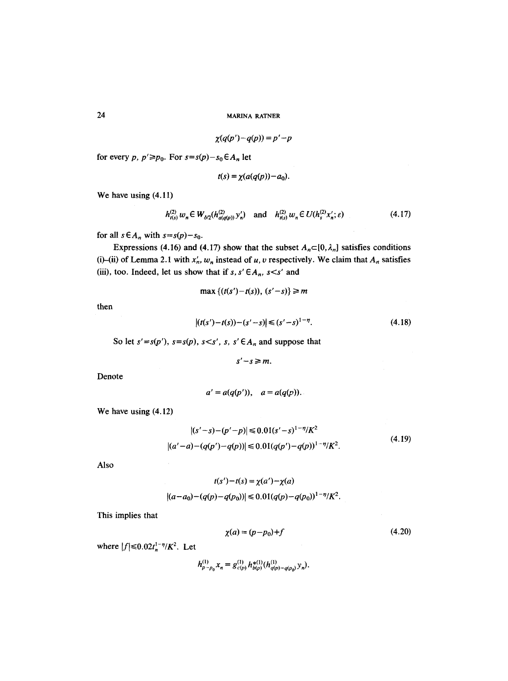$$
\chi(q(p')-q(p))=p'-p
$$

for every *p*,  $p' \ge p_0$ . For  $s = s(p) - s_0 \in A_n$  let

$$
t(s) = \chi(a(q(p)) - a_0).
$$

We have using  $(4.11)$ 

$$
h_{t(s)}^{(2)} w_n \in W_{\delta/2}(h_{a(q(p))}^{(2)} y'_n) \quad \text{and} \quad h_{t(s)}^{(2)} w_n \in U(h_s^{(2)} x'_n; \varepsilon) \tag{4.17}
$$

for all  $s \in A_n$  with  $s = s(p) - s_0$ .

Expressions (4.16) and (4.17) show that the subset  $A_n \subset [0, \lambda_n]$  satisfies conditions (i)-(ii) of Lemma 2.1 with  $x'_n$ ,  $w_n$  instead of u, v respectively. We claim that  $A_n$  satisfies (iii), too. Indeed, let us show that if  $s, s' \in A_n$ ,  $s \leq s'$  and

$$
\max\left\{(t(s')-t(s)),\ (s'-s)\right\}\geq m
$$

then

$$
|(t(s')-t(s))-(s'-s)| \leq (s'-s)^{1-\eta}.
$$
\n(4.18)

So let  $s' = s(p')$ ,  $s = s(p)$ ,  $s < s'$ ,  $s$ ,  $s' \in A_n$  and suppose that

$$
s'-s\geq m.
$$

Denote

$$
a' = a(q(p'))
$$
, 
$$
a = a(q(p))
$$
.

We have using (4.12)

$$
|(s'-s)-(p'-p)| \le 0.01(s'-s)^{1-\eta}/K^2
$$
  
 
$$
|(a'-a)-(q(p')-q(p))| \le 0.01(q(p')-q(p))^{1-\eta}/K^2.
$$
 (4.19)

Also

$$
t(s') - t(s) = \chi(a') - \chi(a)
$$

$$
|(a - a_0) - (q(p) - q(p_0))| \leq 0.01(q(p) - q(p_0))^{1 - \eta}/K^2.
$$

This implies that

$$
\chi(a) = (p - p_0) + f \tag{4.20}
$$

where  $|f| \le 0.02t_n^{1-\eta}/K^2$ . Let

$$
h_{p-p_0}^{(1)} x_n = g_{c(p)}^{(1)} h_{b(p)}^{*(1)} (h_{q(p)-q(p_0)}^{(1)} y_n).
$$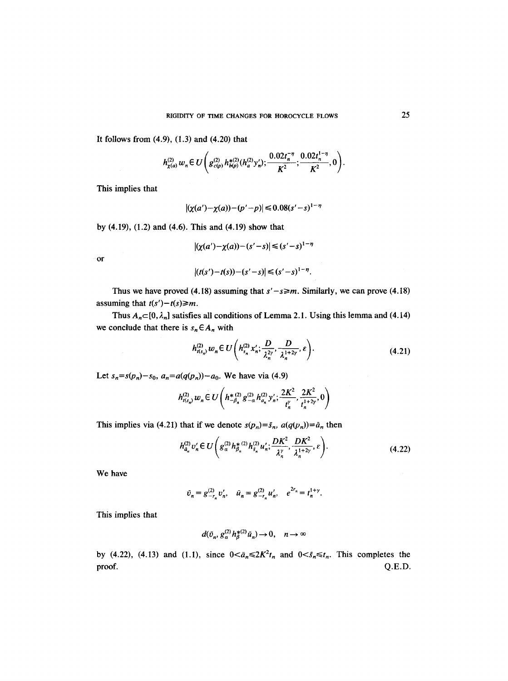It follows from (4.9), (1.3) and (4.20) that

$$
h_{\chi(a)}^{(2)} w_n \in U\bigg(g_{c(p)}^{(2)} h_{b(p)}^{*(2)}(h_a^{(2)} y_n'); \frac{0.02 t_n^{-\eta}}{K^2}; \frac{0.02 t_n^{1-\eta}}{K^2}, 0\bigg).
$$

This implies that

$$
|\left(\chi(a') - \chi(a)\right) - \left(p' - p\right)| \leq 0.08(s' - s)^{1 - \eta}
$$

by (4.19), (1.2) and (4.6). This and (4.19) show that

$$
|\langle \chi(a') - \chi(a) \rangle - (s' - s)| \leq (s' - s)^{1 - \eta}
$$

or

$$
|(t(s')-t(s))-(s'-s)|\leq (s'-s)^{1-\eta}.
$$

Thus we have proved (4.18) assuming that  $s' - s \ge m$ . Similarly, we can prove (4.18) assuming that  $t(s')-t(s) \geq m$ .

Thus  $A_n \subset [0, \lambda_n]$  satisfies all conditions of Lemma 2.1. Using this lemma and (4.14) we conclude that there is  $s_n \in A_n$  with

$$
h_{t(s_n)}^{(2)} w_n \in U\left(h_{s_n}^{(2)} x_n'; \frac{D}{\lambda_n^{2\gamma}}, \frac{D}{\lambda_n^{1+2\gamma}}, \varepsilon\right).
$$
 (4.21)

Let  $s_n = s(p_n) - s_0$ ,  $a_n = a(q(p_n)) - a_0$ . We have via (4.9)

$$
h_{t(s_n)}^{(2)}w_n\in U\left(h_{-\beta_n}^{*(2)}g_{-\alpha}^{(2)}h_{a_n}^{(2)}y_n';\frac{2K^2}{t_n^{\gamma}},\frac{2K^2}{t_n^{1+2\gamma}},0\right)
$$

This implies via (4.21) that if we denote  $s(p_n)=\bar{s}_n$ ,  $a(q(p_n))=\bar{a}_n$  then

$$
h_{a_n}^{(2)} \nu_n' \in U\left(g_\alpha^{(2)} h_{\beta_n}^{* \ (2)} h_{s_n}^{(2)} u_n'; \frac{DK^2}{\lambda_n^{\gamma}}, \frac{DK^2}{\lambda_n^{1+2\gamma}}, \varepsilon\right).
$$
 (4.22)

We have

$$
\bar{v}_n = g^{(2)}_{-r_n} v'_n, \quad \bar{u}_n = g^{(2)}_{-r_n} u'_n, \quad e^{2r_n} = t_n^{1+\gamma}.
$$

This implies that

$$
d(\bar{v}_n, g_\alpha^{(2)} h_\beta^{*(2)} \bar{u}_n) \to 0, \quad n \to \infty
$$

by (4.22), (4.13) and (1.1), since  $0<\bar{a}_n\le 2K^2t_n$  and  $0<\bar{s}_n\le t_n$ . This completes the  $\alpha$  proof.  $Q.E.D.$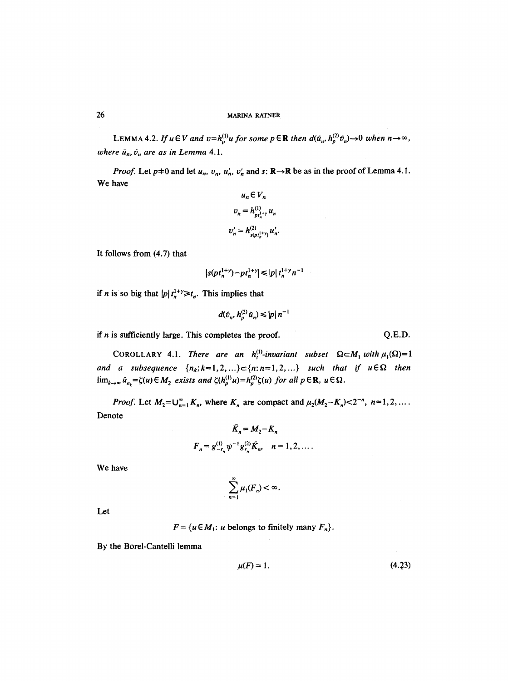LEMMA 4.2. *If*  $u \in V$  and  $v=h_p^{(1)}u$  for some  $p \in \mathbb{R}$  then  $d(\bar{u}_n, h_p^{(2)}\bar{v}_n) \rightarrow 0$  when  $n \rightarrow \infty$ , *where an, O, are as in Lemma 4.1.* 

*Proof.* Let  $p\neq 0$  and let  $u_n$ ,  $v_n$ ,  $u'_n$ ,  $v'_n$  and  $s: \mathbb{R} \rightarrow \mathbb{R}$  be as in the proof of Lemma 4.1. We have

$$
u_n \in V_n
$$
  

$$
v_n = h_{pt_n^{1+\gamma}}^{(1)} u_n
$$
  

$$
v_n' = h_{s(pt_n^{1+\gamma}}^{(2)} u_n'
$$

It follows from (4.7) that

$$
|s(pt_n^{1+\gamma}) - pt_n^{1+\gamma}| \leq |p| t_n^{1+\gamma} n^{-1}
$$

if *n* is so big that  $|p|t_n^{1+\gamma} \geq t_n$ . This implies that

$$
d(\tilde{v}_n, h_p^{(2)}\tilde{u}_n) \leqslant |p| \, n^{-1}
$$

if  $n$  is sufficiently large. This completes the proof.

COROLLARY 4.1. *There are an h*<sup>[1]</sup>-invariant subset  $\Omega \subset M_1$  with  $\mu_1(\Omega) = 1$ and a subsequence  $\{n_k; k=1,2,...\} \subset \{n: n=1,2,...\}$  such that if  $u \in \Omega$  then  $\lim_{k\to\infty} \tilde{u}_{n_k} = \zeta(u) \in M_2$  exists and  $\zeta(h_p^{(1)}u) = h_p^{(2)}\zeta(u)$  for all  $p \in \mathbb{R}$ ,  $u \in \Omega$ .

*Proof.* Let  $M_2 = \bigcup_{n=1}^{\infty} K_n$ , where  $K_n$  are compact and  $\mu_2(M_2 - K_n) < 2^{-n}$ , n=1, 2, .... Denote

$$
K_n = M_2 - K_n
$$
  

$$
F_n = g_{-r_n}^{(1)} \psi^{-1} g_{r_n}^{(2)} \tilde{K}_n, \quad n = 1, 2, \dots.
$$

We have

$$
\sum_{n=1}^{\infty}\mu_1(F_n)<\infty.
$$

Let

 $F = \{u \in M_1: u \text{ belongs to finitely many } F_n\}.$ 

By the Borel-Cantelli lemma

$$
\mu(F) = 1. \tag{4.23}
$$

Q.E.D.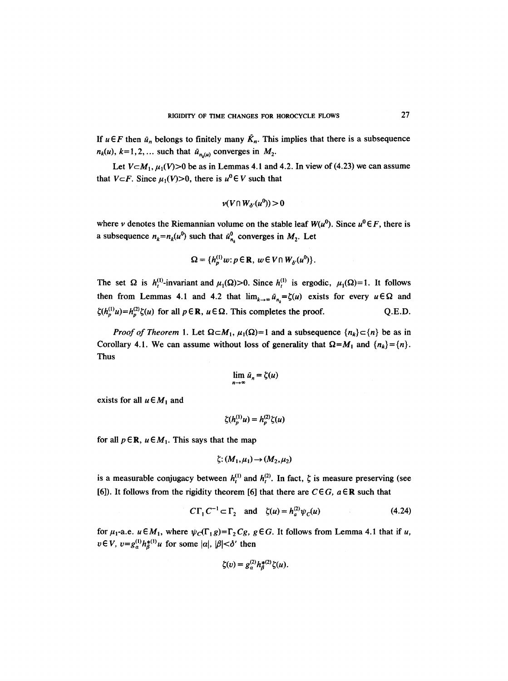If  $u \in F$  then  $\bar{u}_n$  belongs to finitely many  $\tilde{K}_n$ . This implies that there is a subsequence  $n_k(u)$ ,  $k=1,2,...$  such that  $\bar{u}_{n_k(u)}$  converges in  $M_2$ .

Let  $V \subset M_1$ ,  $\mu_1(V) > 0$  be as in Lemmas 4.1 and 4.2. In view of (4.23) we can assume that  $V \subset F$ . Since  $\mu_1(V) > 0$ , there is  $u^0 \in V$  such that

$$
\nu(V\cap W_{\delta'}(u^0))>0
$$

where v denotes the Riemannian volume on the stable leaf  $W(u^0)$ . Since  $u^0 \in F$ , there is a subsequence  $n_k = n_k(u^0)$  such that  $\tilde{u}_{n_k}^0$  converges in  $M_2$ . Let

$$
\Omega = \{h_p^{(1)}w : p \in \mathbb{R}, \ w \in V \cap W_{\delta'}(u^0)\}.
$$

The set  $\Omega$  is  $h_l^{(1)}$ -invariant and  $\mu_1(\Omega) > 0$ . Since  $h_l^{(1)}$  is ergodic,  $\mu_1(\Omega) = 1$ . It follows then from Lemmas 4.1 and 4.2 that  $\lim_{k\to\infty} \bar{u}_n = \zeta(u)$  exists for every  $u \in \Omega$  and  $\zeta(h_p^{(1)}u) = h_p^{(2)}\zeta(u)$  for all  $p \in \mathbb{R}$ ,  $u \in \Omega$ . This completes the proof. Q.E.D.

*Proof of Theorem 1.* Let  $\Omega \subset M_1$ ,  $\mu_1(\Omega) = 1$  and a subsequence  $\{n_k\} \subset \{n\}$  be as in Corollary 4.1. We can assume without loss of generality that  $\Omega=M_1$  and  ${n_k}={n}$ . Thus

$$
\lim_{n\to\infty}\bar{u}_n=\zeta(u)
$$

exists for all  $u \in M_1$  and

$$
\zeta(h_n^{(1)}u)=h_n^{(2)}\zeta(u)
$$

for all  $p \in \mathbb{R}$ ,  $u \in M_1$ . This says that the map

$$
\zeta: (M_1, \mu_1) \to (M_2, \mu_2)
$$

is a measurable conjugacy between  $h_1^{(1)}$  and  $h_2^{(2)}$ . In fact,  $\zeta$  is measure preserving (see [6]). It follows from the rigidity theorem [6] that there are  $C \in G$ ,  $a \in \mathbb{R}$  such that

$$
C\Gamma_1 C^{-1} \subset \Gamma_2 \quad \text{and} \quad \zeta(u) = h_a^{(2)} \psi_C(u) \tag{4.24}
$$

for  $\mu_1$ -a.e.  $u \in M_1$ , where  $\psi_C(\Gamma_1 g) = \Gamma_2 Cg$ ,  $g \in G$ . It follows from Lemma 4.1 that if *u*,  $v \in V$ ,  $v = g_{\alpha}^{(1)} h_{\beta}^{*(1)} u$  for some  $|\alpha|, |\beta| < \delta'$  then

$$
\zeta(v)=g_{\alpha}^{(2)}h_{\beta}^{*(2)}\zeta(u).
$$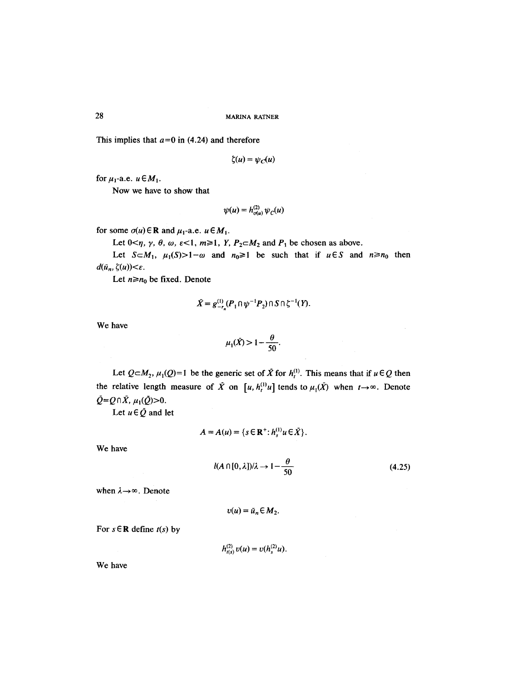This implies that  $a=0$  in (4.24) and therefore

$$
\zeta(u)=\psi_C(u)
$$

for  $\mu_1$ -a.e.  $u \in M_1$ .

Now we have to show that

 $\psi(u) = h_{\sigma(u)}^{(2)} \psi_c(u)$ 

for some  $\sigma(u) \in \mathbb{R}$  and  $\mu_1$ -a.e.  $u \in M_1$ .

Let  $0<\eta$ ,  $\gamma$ ,  $\theta$ ,  $\omega$ ,  $\varepsilon<1$ ,  $m\geq 1$ ,  $Y$ ,  $P_2\subset M_2$  and  $P_1$  be chosen as above.

Let  $S \subset M_1$ ,  $\mu_1(S) > 1 - \omega$  and  $n_0 \geq 1$  be such that if  $u \in S$  and  $n \geq n_0$  then  $d(\bar{u}_n, \zeta(u)) < \varepsilon.$ 

Let  $n \ge n_0$  be fixed. Denote

$$
\bar{X} = g_{-r}^{(1)}(P_1 \cap \psi^{-1}P_2) \cap S \cap \zeta^{-1}(Y).
$$

We have

$$
\mu_1(\bar{X}) > 1 - \frac{\theta}{50}.
$$

Let  $Q \subset M_2$ ,  $\mu_1(Q)=1$  be the generic set of X for  $h_t^{(1)}$ . This means that if  $u \in Q$  then the relative length measure of  $\bar{X}$  on  $[u, h_t^{(1)}u]$  tends to  $\mu_1(\bar{X})$  when  $t\rightarrow\infty$ . Denote  $\bar{Q} = Q \cap \bar{X}, \mu_1(\bar{Q}) > 0.$ 

Let  $u \in \overline{Q}$  and let

$$
A = A(u) = \{s \in \mathbb{R}^+ : h_s^{(1)} u \in \bar{X}\}.
$$

We have

$$
l(A \cap [0,\lambda])/\lambda \to 1 - \frac{\theta}{50} \tag{4.25}
$$

when  $\lambda \rightarrow \infty$ . Denote

$$
v(u)=\bar{u}_n\in M_2.
$$

For  $s \in \mathbb{R}$  define  $t(s)$  by

$$
h_{t(s)}^{(2)}v(u)=v(h_s^{(2)}u).
$$

We have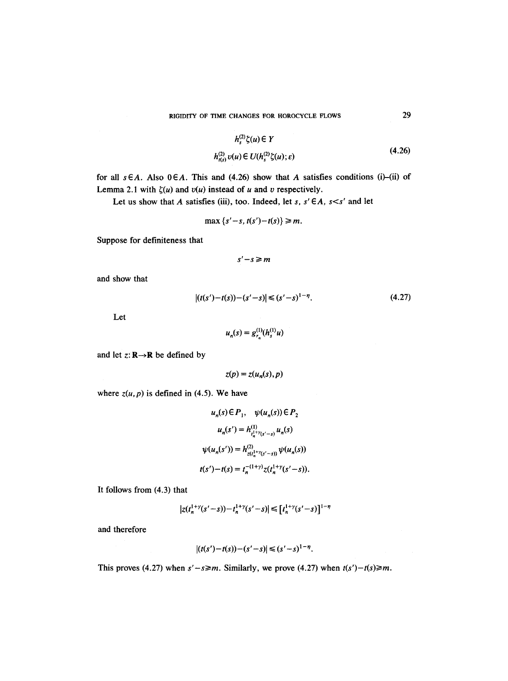$$
h_s^{(2)}\zeta(u) \in Y
$$
  
\n
$$
h_{t(s)}^{(2)}v(u) \in U(h_s^{(2)}\zeta(u); \varepsilon)
$$
\n(4.26)

for all  $s \in A$ . Also  $0 \in A$ . This and (4.26) show that A satisfies conditions (i)-(ii) of Lemma 2.1 with  $\zeta(u)$  and  $v(u)$  instead of u and v respectively.

Let us show that A satisfies (iii), too. Indeed, let  $s, s' \in A$ ,  $s < s'$  and let

$$
\max\left\{s'-s,\,t(s')-t(s)\right\}\geq m.
$$

Suppose for definiteness that

$$
s'-s\geq m
$$

and show that

$$
|(t(s')-t(s))-(s'-s)| \leq (s'-s)^{1-\eta}.
$$
\n(4.27)

Let

$$
u_n(s) = g_{r_n}^{(1)}(h_s^{(1)}u)
$$

and let  $z: \mathbb{R} \rightarrow \mathbb{R}$  be defined by

 $z(p) = z(u_n(s), p)$ 

where  $z(u, p)$  is defined in (4.5). We have

$$
u_n(s) \in P_1, \quad \psi(u_n(s)) \in P_2
$$
  

$$
u_n(s') = h_{t_n^{(1+\gamma}(s'-s)}^{(1)} u_n(s)
$$
  

$$
\psi(u_n(s')) = h_{z(t_n^{(1+\gamma}(s'-s))}^{(2)} \psi(u_n(s))
$$
  

$$
t(s') - t(s) = t_n^{-(1+\gamma)} z(t_n^{1+\gamma}(s'-s)).
$$

It follows from (4.3) that

$$
|z(t_n^{1+\gamma}(s'-s)) - t_n^{1+\gamma}(s'-s)| \leq [t_n^{1+\gamma}(s'-s)]^{1-\eta}
$$

and therefore

$$
|(t(s')-t(s))-(s'-s)|\leq (s'-s)^{1-\eta}.
$$

This proves (4.27) when  $s' - s \ge m$ . Similarly, we prove (4.27) when  $t(s') - t(s) \ge m$ .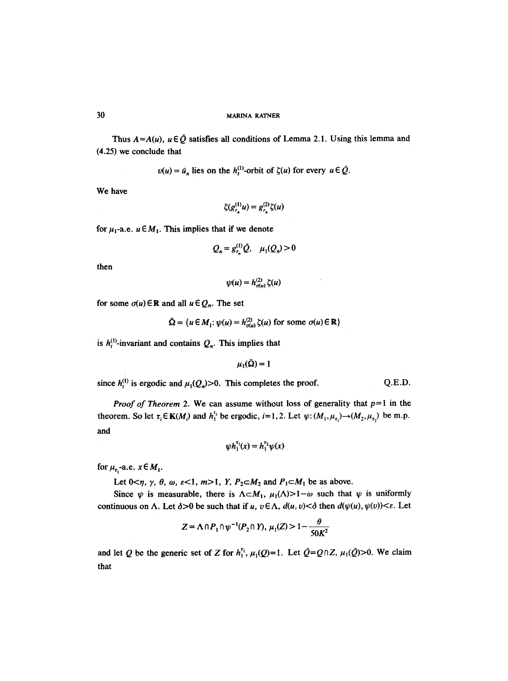Thus  $A=A(u)$ ,  $u \in \overline{Q}$  satisfies all conditions of Lemma 2.1. Using this lemma and (4.25) we conclude that

 $v(u) = \bar{u}_n$  lies on the  $h_t^{(1)}$ -orbit of  $\zeta(u)$  for every  $u \in \bar{Q}$ .

We have

$$
\zeta(g_r^{(1)}u) = g_r^{(2)}\zeta(u)
$$

for  $\mu_1$ -a.e.  $u \in M_1$ . This implies that if we denote

$$
Q_n = g_{r_n}^{(1)} \tilde{Q}, \quad \mu_1(Q_n) > 0
$$

then

$$
\psi(u)=h_{\sigma(u)}^{(2)}\,\zeta(u)
$$

for some  $\sigma(u) \in \mathbb{R}$  and all  $u \in Q_n$ . The set

$$
\tilde{\Omega} = \{u \in M_1 : \psi(u) = h_{\sigma(u)}^{(2)} \zeta(u) \text{ for some } \sigma(u) \in \mathbb{R}\}
$$

is  $h_t^{(1)}$ -invariant and contains  $Q_n$ . This implies that

$$
\mu_1(\bar{\Omega})=1
$$

since  $h_t^{(1)}$  is ergodic and  $\mu_1(Q_n) > 0$ . This completes the proof. Q.E.D.

*Proof of Theorem 2.* We can assume without loss of generality that  $p=1$  in the theorem. So let  $\tau_i \in K(M_i)$  and  $h_1^{\tau_i}$  be ergodic,  $i=1,2$ . Let  $\psi: (M_1,\mu_{\tau_i}) \to (M_2,\mu_{\tau_i})$  be m.p. and

$$
\psi h_1^{\tau_1}(x) = h_1^{\tau_2} \psi(x)
$$

for  $\mu_{\tau_1}$ -a.e.  $x \in M_1$ .

Let  $0 < \eta$ ,  $\gamma$ ,  $\theta$ ,  $\omega$ ,  $\varepsilon < 1$ ,  $m > 1$ ,  $Y$ ,  $P_2 \subset M_2$  and  $P_1 \subset M_1$  be as above.

Since  $\psi$  is measurable, there is  $\Lambda \subset M_1$ ,  $\mu_1(\Lambda) > 1 - \omega$  such that  $\psi$  is uniformly continuous on  $\Lambda$ . Let  $\delta > 0$  be such that if *u*,  $v \in \Lambda$ ,  $d(u, v) < \delta$  then  $d(\psi(u), \psi(v)) < \varepsilon$ . Let

$$
Z = \Lambda \cap P_1 \cap \psi^{-1}(P_2 \cap Y), \mu_1(Z) > 1 - \frac{\theta}{50K^2}
$$

and let Q be the generic set of Z for  $h_1^{r_1}$ ,  $\mu_1(Q)=1$ . Let  $\overline{Q}=Q\cap Z$ ,  $\mu_1(\overline{Q})>0$ . We claim that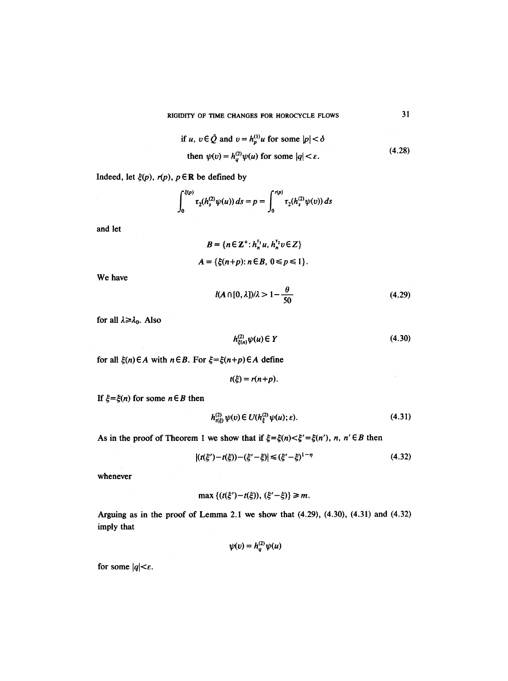RIGIDITY OF TIME CHANGES FOR HOROCYCLE FLOWS

if *u*, 
$$
v \in \bar{Q}
$$
 and  $v = h_p^{(1)}u$  for some  $|p| < \delta$   
then  $\psi(v) = h_q^{(2)} \psi(u)$  for some  $|q| < \varepsilon$ . (4.28)

Indeed, let  $\xi(p)$ ,  $r(p)$ ,  $p \in \mathbb{R}$  be defined by

$$
\int_0^{\xi(\rho)} \tau_2(h_s^{(2)} \psi(u)) ds = p = \int_0^{r(\rho)} \tau_2(h_s^{(2)} \psi(v)) ds
$$

and let

$$
B = \{ n \in \mathbb{Z}^+ : h_n^{\tau_1} u, h_n^{\tau_2} v \in Z \}
$$
  

$$
A = \{ \xi(n+p) : n \in B, 0 \le p \le 1 \}.
$$

We have

$$
l(A \cap [0,\lambda])/\lambda > 1 - \frac{\theta}{50}
$$
\n
$$
(4.29)
$$

for all  $\lambda \geq \lambda_0$ . Also

$$
h_{\varepsilon(n)}^{(2)} \psi(u) \in Y \tag{4.30}
$$

for all  $\xi(n) \in A$  with  $n \in B$ . For  $\xi = \xi(n+p) \in A$  define

$$
t(\xi)=r(n+p).
$$

*If*  $\xi = \xi(n)$  for some  $n \in B$  then

$$
h_{t(k)}^{(2)} \psi(v) \in U(h_k^{(2)} \psi(u); \varepsilon). \tag{4.31}
$$

As in the proof of Theorem 1 we show that if  $\xi = \xi(n) < \xi' = \xi(n')$ , n,  $n' \in B$  then

$$
|(t(\xi') - t(\xi)) - (\xi' - \xi)| \le (\xi' - \xi)^{1 - \eta}
$$
\n(4.32)

whenever

 $\max \{(t(\xi')-t(\xi)), (\xi'-\xi)\}\geq m.$ 

Arguing as in the proof of Lemma 2.1 we show that (4.29), (4.30), (4.31) and (4.32) imply that

$$
\psi(v) = h_a^{(2)} \psi(u)
$$

for some  $|q| < \varepsilon$ .